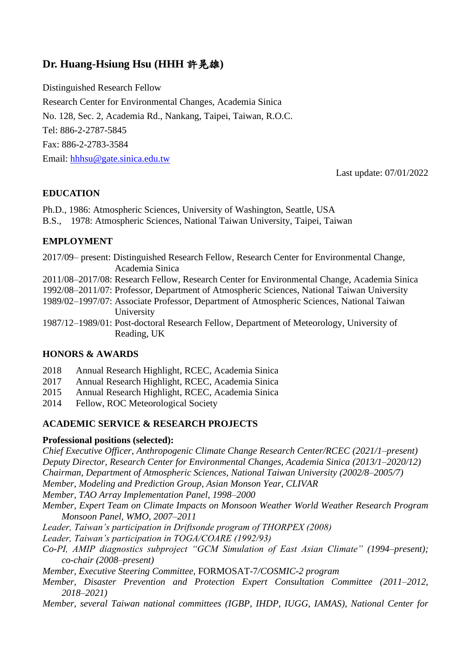# **Dr. Huang-Hsiung Hsu (HHH** 許晃雄**)**

Distinguished Research Fellow Research Center for Environmental Changes, Academia Sinica No. 128, Sec. 2, Academia Rd., Nankang, Taipei, Taiwan, R.O.C. Tel: 886-2-2787-5845 Fax: 886-2-2783-3584 Email: [hhhsu@gate.sinica.edu.tw](mailto:hhhsu@gate.sinica.edu.tw)

Last update: 07/01/2022

### **EDUCATION**

Ph.D., 1986: Atmospheric Sciences, University of Washington, Seattle, USA B.S., 1978: Atmospheric Sciences, National Taiwan University, Taipei, Taiwan

### **EMPLOYMENT**

2017/09– present: Distinguished Research Fellow, Research Center for Environmental Change, Academia Sinica

2011/08–2017/08: Research Fellow, Research Center for Environmental Change, Academia Sinica

1992/08–2011/07: Professor, Department of Atmospheric Sciences, National Taiwan University

1989/02–1997/07: Associate Professor, Department of Atmospheric Sciences, National Taiwan University

1987/12–1989/01: Post-doctoral Research Fellow, Department of Meteorology, University of Reading, UK

### **HONORS & AWARDS**

- 2018 Annual Research Highlight, RCEC, Academia Sinica
- 2017 Annual Research Highlight, RCEC, Academia Sinica
- 2015 Annual Research Highlight, RCEC, Academia Sinica
- 2014 Fellow, ROC Meteorological Society

### **ACADEMIC SERVICE & RESEARCH PROJECTS**

#### **Professional positions (selected):**

*Chief Executive Officer, Anthropogenic Climate Change Research Center/RCEC (2021/1–present) Deputy Director, Research Center for Environmental Changes, Academia Sinica (2013/1–2020/12)*

*Chairman, Department of Atmospheric Sciences, National Taiwan University (2002/8–2005/7)*

*Member, Modeling and Prediction Group, Asian Monson Year, CLIVAR*

*Member, TAO Array Implementation Panel, 1998–2000*

*Member, Expert Team on Climate Impacts on Monsoon Weather World Weather Research Program Monsoon Panel, WMO, 2007–2011*

*Leader, Taiwan's participation in Driftsonde program of THORPEX (2008)*

*Leader, Taiwan's participation in TOGA/COARE (1992/93)*

*Co-PI, AMIP diagnostics subproject "GCM Simulation of East Asian Climate" (1994–present); co-chair (2008–present)*

*Member, Executive Steering Committee,* FORMOSAT*-*7*/COSMIC-2 program*

*Member, Disaster Prevention and Protection Expert Consultation Committee (2011–2012, 2018–2021)*

*Member, several Taiwan national committees (IGBP, IHDP, IUGG, IAMAS), National Center for*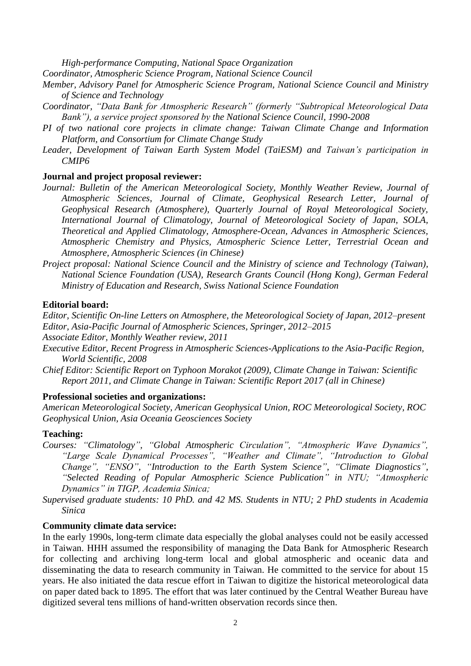*High-performance Computing, National Space Organization*

*Coordinator, Atmospheric Science Program, National Science Council*

- *Member, Advisory Panel for Atmospheric Science Program, National Science Council and Ministry of Science and Technology*
- *Coordinator, "Data Bank for Atmospheric Research" (formerly "Subtropical Meteorological Data Bank"), a service project sponsored by the National Science Council, 1990-2008*
- *PI of two national core projects in climate change: Taiwan Climate Change and Information Platform, and Consortium for Climate Change Study*
- Leader, Development of Taiwan Earth System Model (TaiESM) and Taiwan's participation in *CMIP6*

### **Journal and project proposal reviewer:**

- *Journal: Bulletin of the American Meteorological Society, Monthly Weather Review, Journal of Atmospheric Sciences, Journal of Climate, Geophysical Research Letter, Journal of Geophysical Research (Atmosphere), Quarterly Journal of Royal Meteorological Society, International Journal of Climatology, Journal of Meteorological Society of Japan, SOLA, Theoretical and Applied Climatology, Atmosphere-Ocean, Advances in Atmospheric Sciences, Atmospheric Chemistry and Physics, Atmospheric Science Letter, Terrestrial Ocean and Atmosphere, Atmospheric Sciences (in Chinese)*
- *Project proposal: National Science Council and the Ministry of science and Technology (Taiwan), National Science Foundation (USA), Research Grants Council (Hong Kong), German Federal Ministry of Education and Research, Swiss National Science Foundation*

#### **Editorial board:**

*Editor, Scientific On-line Letters on Atmosphere, the Meteorological Society of Japan, 2012–present Editor, Asia-Pacific Journal of Atmospheric Sciences, Springer, 2012–2015*

*Associate Editor, Monthly Weather review, 2011*

- *Executive Editor, Recent Progress in Atmospheric Sciences-Applications to the Asia-Pacific Region, World Scientific, 2008*
- *Chief Editor: Scientific Report on Typhoon Morakot (2009), Climate Change in Taiwan: Scientific Report 2011, and Climate Change in Taiwan: Scientific Report 2017 (all in Chinese)*

#### **Professional societies and organizations:**

*American Meteorological Society, American Geophysical Union, ROC Meteorological Society, ROC Geophysical Union, Asia Oceania Geosciences Society*

#### **Teaching:**

- *Courses: "Climatology", "Global Atmospheric Circulation", "Atmospheric Wave Dynamics", "Large Scale Dynamical Processes", "Weather and Climate", "Introduction to Global Change", "ENSO", "Introduction to the Earth System Science", "Climate Diagnostics", "Selected Reading of Popular Atmospheric Science Publication" in NTU; "Atmospheric Dynamics" in TIGP, Academia Sinica;*
- *Supervised graduate students: 10 PhD. and 42 MS. Students in NTU; 2 PhD students in Academia Sinica*

#### **Community climate data service:**

In the early 1990s, long-term climate data especially the global analyses could not be easily accessed in Taiwan. HHH assumed the responsibility of managing the Data Bank for Atmospheric Research for collecting and archiving long-term local and global atmospheric and oceanic data and disseminating the data to research community in Taiwan. He committed to the service for about 15 years. He also initiated the data rescue effort in Taiwan to digitize the historical meteorological data on paper dated back to 1895. The effort that was later continued by the Central Weather Bureau have digitized several tens millions of hand-written observation records since then.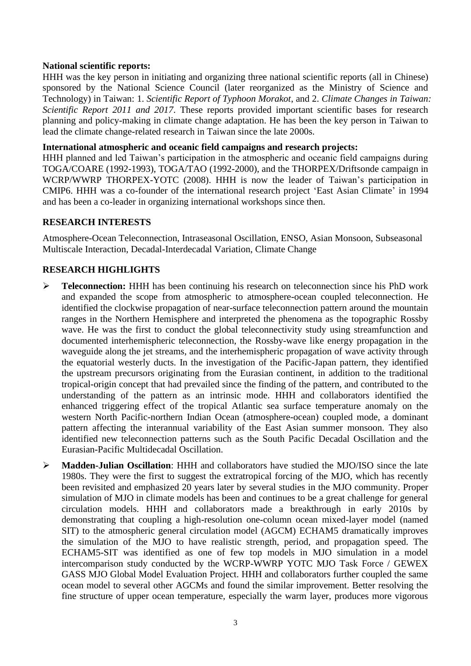#### **National scientific reports:**

HHH was the key person in initiating and organizing three national scientific reports (all in Chinese) sponsored by the National Science Council (later reorganized as the Ministry of Science and Technology) in Taiwan: 1. *Scientific Report of Typhoon Morakot*, and 2. *Climate Changes in Taiwan: Scientific Report 2011 and 2017*. These reports provided important scientific bases for research planning and policy-making in climate change adaptation. He has been the key person in Taiwan to lead the climate change-related research in Taiwan since the late 2000s.

### **International atmospheric and oceanic field campaigns and research projects:**

HHH planned and led Taiwan's participation in the atmospheric and oceanic field campaigns during TOGA/COARE (1992-1993), TOGA/TAO (1992-2000), and the THORPEX/Driftsonde campaign in WCRP/WWRP THORPEX-YOTC (2008). HHH is now the leader of Taiwan's participation in CMIP6. HHH was a co-founder of the international research project 'East Asian Climate' in 1994 and has been a co-leader in organizing international workshops since then.

### **RESEARCH INTERESTS**

Atmosphere-Ocean Teleconnection, Intraseasonal Oscillation, ENSO, Asian Monsoon, Subseasonal Multiscale Interaction, Decadal-Interdecadal Variation, Climate Change

### **RESEARCH HIGHLIGHTS**

- ➢ **Teleconnection:** HHH has been continuing his research on teleconnection since his PhD work and expanded the scope from atmospheric to atmosphere-ocean coupled teleconnection. He identified the clockwise propagation of near-surface teleconnection pattern around the mountain ranges in the Northern Hemisphere and interpreted the phenomena as the topographic Rossby wave. He was the first to conduct the global teleconnectivity study using streamfunction and documented interhemispheric teleconnection, the Rossby-wave like energy propagation in the waveguide along the jet streams, and the interhemispheric propagation of wave activity through the equatorial westerly ducts. In the investigation of the Pacific-Japan pattern, they identified the upstream precursors originating from the Eurasian continent, in addition to the traditional tropical-origin concept that had prevailed since the finding of the pattern, and contributed to the understanding of the pattern as an intrinsic mode. HHH and collaborators identified the enhanced triggering effect of the tropical Atlantic sea surface temperature anomaly on the western North Pacific-northern Indian Ocean (atmosphere-ocean) coupled mode, a dominant pattern affecting the interannual variability of the East Asian summer monsoon. They also identified new teleconnection patterns such as the South Pacific Decadal Oscillation and the Eurasian-Pacific Multidecadal Oscillation.
- ➢ **Madden-Julian Oscillation**: HHH and collaborators have studied the MJO/ISO since the late 1980s. They were the first to suggest the extratropical forcing of the MJO, which has recently been revisited and emphasized 20 years later by several studies in the MJO community. Proper simulation of MJO in climate models has been and continues to be a great challenge for general circulation models. HHH and collaborators made a breakthrough in early 2010s by demonstrating that coupling a high-resolution one-column ocean mixed-layer model (named SIT) to the atmospheric general circulation model (AGCM) ECHAM5 dramatically improves the simulation of the MJO to have realistic strength, period, and propagation speed. The ECHAM5-SIT was identified as one of few top models in MJO simulation in a model intercomparison study conducted by the WCRP‐WWRP YOTC MJO Task Force / GEWEX GASS MJO Global Model Evaluation Project. HHH and collaborators further coupled the same ocean model to several other AGCMs and found the similar improvement. Better resolving the fine structure of upper ocean temperature, especially the warm layer, produces more vigorous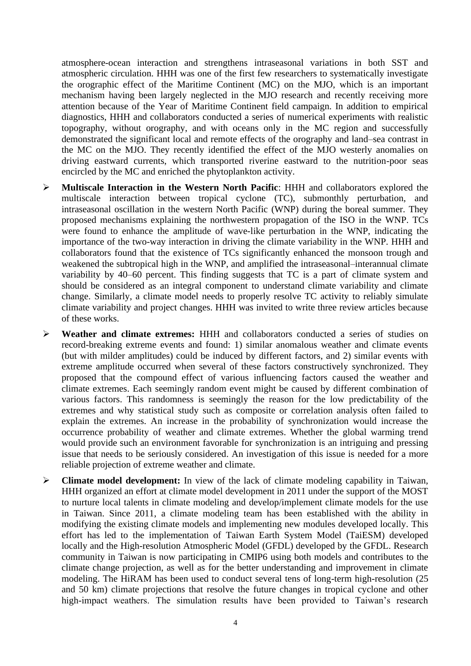atmosphere-ocean interaction and strengthens intraseasonal variations in both SST and atmospheric circulation. HHH was one of the first few researchers to systematically investigate the orographic effect of the Maritime Continent (MC) on the MJO, which is an important mechanism having been largely neglected in the MJO research and recently receiving more attention because of the Year of Maritime Continent field campaign. In addition to empirical diagnostics, HHH and collaborators conducted a series of numerical experiments with realistic topography, without orography, and with oceans only in the MC region and successfully demonstrated the significant local and remote effects of the orography and land–sea contrast in the MC on the MJO. They recently identified the effect of the MJO westerly anomalies on driving eastward currents, which transported riverine eastward to the nutrition-poor seas encircled by the MC and enriched the phytoplankton activity.

- ➢ **Multiscale Interaction in the Western North Pacific**: HHH and collaborators explored the multiscale interaction between tropical cyclone (TC), submonthly perturbation, and intraseasonal oscillation in the western North Pacific (WNP) during the boreal summer. They proposed mechanisms explaining the northwestern propagation of the ISO in the WNP. TCs were found to enhance the amplitude of wave-like perturbation in the WNP, indicating the importance of the two-way interaction in driving the climate variability in the WNP. HHH and collaborators found that the existence of TCs significantly enhanced the monsoon trough and weakened the subtropical high in the WNP, and amplified the intraseasonal–interannual climate variability by 40–60 percent. This finding suggests that TC is a part of climate system and should be considered as an integral component to understand climate variability and climate change. Similarly, a climate model needs to properly resolve TC activity to reliably simulate climate variability and project changes. HHH was invited to write three review articles because of these works.
- ➢ **Weather and climate extremes:** HHH and collaborators conducted a series of studies on record-breaking extreme events and found: 1) similar anomalous weather and climate events (but with milder amplitudes) could be induced by different factors, and 2) similar events with extreme amplitude occurred when several of these factors constructively synchronized. They proposed that the compound effect of various influencing factors caused the weather and climate extremes. Each seemingly random event might be caused by different combination of various factors. This randomness is seemingly the reason for the low predictability of the extremes and why statistical study such as composite or correlation analysis often failed to explain the extremes. An increase in the probability of synchronization would increase the occurrence probability of weather and climate extremes. Whether the global warming trend would provide such an environment favorable for synchronization is an intriguing and pressing issue that needs to be seriously considered. An investigation of this issue is needed for a more reliable projection of extreme weather and climate.
- ➢ **Climate model development:** In view of the lack of climate modeling capability in Taiwan, HHH organized an effort at climate model development in 2011 under the support of the MOST to nurture local talents in climate modeling and develop/implement climate models for the use in Taiwan. Since 2011, a climate modeling team has been established with the ability in modifying the existing climate models and implementing new modules developed locally. This effort has led to the implementation of Taiwan Earth System Model (TaiESM) developed locally and the High-resolution Atmospheric Model (GFDL) developed by the GFDL. Research community in Taiwan is now participating in CMIP6 using both models and contributes to the climate change projection, as well as for the better understanding and improvement in climate modeling. The HiRAM has been used to conduct several tens of long-term high-resolution (25 and 50 km) climate projections that resolve the future changes in tropical cyclone and other high-impact weathers. The simulation results have been provided to Taiwan's research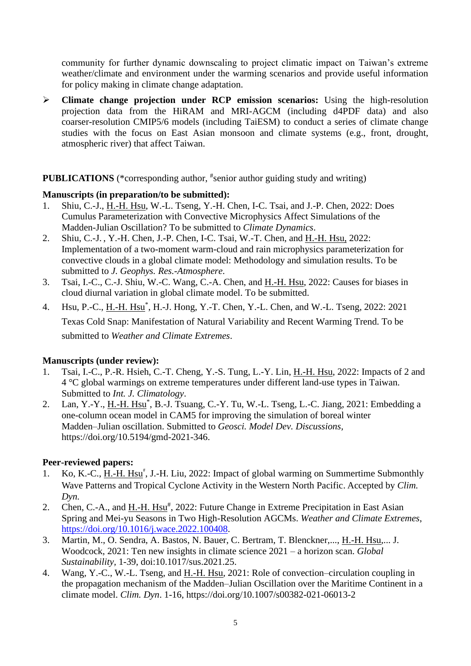community for further dynamic downscaling to project climatic impact on Taiwan's extreme weather/climate and environment under the warming scenarios and provide useful information for policy making in climate change adaptation.

➢ **Climate change projection under RCP emission scenarios:** Using the high-resolution projection data from the HiRAM and MRI-AGCM (including d4PDF data) and also coarser-resolution CMIP5/6 models (including TaiESM) to conduct a series of climate change studies with the focus on East Asian monsoon and climate systems (e.g., front, drought, atmospheric river) that affect Taiwan.

### **PUBLICATIONS** (\*corresponding author, #senior author guiding study and writing)

### **Manuscripts (in preparation/to be submitted):**

- 1. Shiu, C.-J., H.-H. Hsu, W.-L. Tseng, Y.-H. Chen, I-C. Tsai, and J.-P. Chen, 2022: Does Cumulus Parameterization with Convective Microphysics Affect Simulations of the Madden-Julian Oscillation? To be submitted to *Climate Dynamics*.
- 2. Shiu, C.-J. , Y.-H. Chen, J.-P. Chen, I-C. Tsai, W.-T. Chen, and H.-H. Hsu, 2022: Implementation of a two-moment warm-cloud and rain microphysics parameterization for convective clouds in a global climate model: Methodology and simulation results. To be submitted to *J. Geophys. Res.-Atmosphere*.
- 3. Tsai, I.-C., C.-J. Shiu, W.-C. Wang, C.-A. Chen, and H.-H. Hsu, 2022: Causes for biases in cloud diurnal variation in global climate model. To be submitted.
- 4. Hsu, P.-C., <u>H.-H. Hsu</u><sup>\*</sup>, H.-J. Hong, Y.-T. Chen, Y.-L. Chen, and W.-L. Tseng, 2022: 2021 Texas Cold Snap: Manifestation of Natural Variability and Recent Warming Trend. To be submitted to *Weather and Climate Extremes*.

# **Manuscripts (under review):**

- 1. Tsai, I.-C., P.-R. Hsieh, C.-T. Cheng, Y.-S. Tung, L.-Y. Lin, H.-H. Hsu, 2022: Impacts of 2 and 4 °C global warmings on extreme temperatures under different land-use types in Taiwan. Submitted to *Int. J. Climatology*.
- 2. Lan, Y.-Y., H.-H. Hsu<sup>\*</sup>, B.-J. Tsuang, C.-Y. Tu, W.-L. Tseng, L.-C. Jiang, 2021: Embedding a one-column ocean model in CAM5 for improving the simulation of boreal winter Madden–Julian oscillation. Submitted to *Geosci. Model Dev. Discussions,*  https://doi.org/10.5194/gmd-2021-346.

# **Peer-reviewed papers:**

- 1. Ko, K.-C., H.-H. Hsu<sup>#</sup>, J.-H. Liu, 2022: Impact of global warming on Summertime Submonthly Wave Patterns and Tropical Cyclone Activity in the Western North Pacific. Accepted by *Clim. Dyn.*
- 2. Chen, C.-A., and H.-H. Hsu<sup>#</sup>, 2022: Future Change in Extreme Precipitation in East Asian Spring and Mei-yu Seasons in Two High-Resolution AGCMs. *Weather and Climate Extremes*, [https://doi.org/10.1016/j.wace.2022.100408.](https://doi.org/10.1016/j.wace.2022.100408)
- 3. Martin, M., O. Sendra, A. Bastos, N. Bauer, C. Bertram, T. Blenckner,..., H.-H. Hsu,... J. Woodcock, 2021: Ten new insights in climate science 2021 – a horizon scan. *Global Sustainability,* 1-39, doi:10.1017/sus.2021.25.
- 4. Wang, Y.-C., W.-L. Tseng, and H.-H. Hsu, 2021: Role of convection–circulation coupling in the propagation mechanism of the Madden–Julian Oscillation over the Maritime Continent in a climate model. *Clim. Dyn*. 1-16, https://doi.org/10.1007/s00382-021-06013-2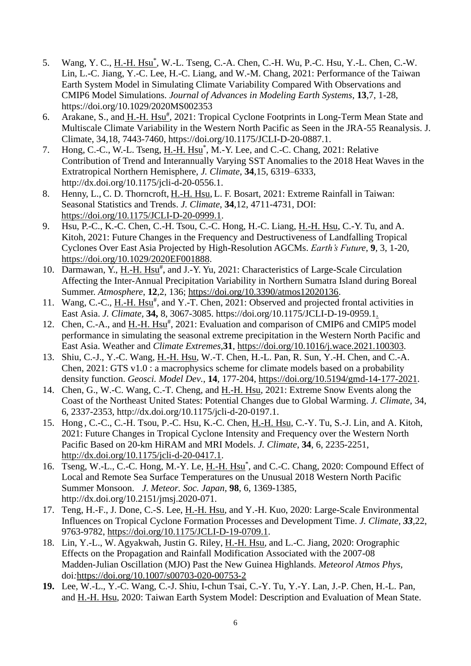- 5. Wang, Y. C., H.-H. Hsu<sup>\*</sup>, W.-L. Tseng, C.-A. Chen, C.-H. Wu, P.-C. Hsu, Y.-L. Chen, C.-W. Lin, L.-C. Jiang, Y.-C. Lee, H.-C. Liang, and W.-M. Chang, 2021: Performance of the Taiwan Earth System Model in Simulating Climate Variability Compared With Observations and CMIP6 Model Simulations. *[Journal of Advances in Modeling Earth Systems](https://www.google.com/url?sa=t&rct=j&q=&esrc=s&source=web&cd=&cad=rja&uact=8&ved=2ahUKEwiuiMmmmIHuAhWFGaYKHTIiAVcQFjAAegQIARAD&url=https%3A%2F%2Fagupubs.onlinelibrary.wiley.com%2Fjournal%2F19422466&usg=AOvVaw3arteFL64Gg2ylJcpHMiD6)*, **13**,7, 1-28, <https://doi.org/10.1029/2020MS002353>
- 6. Arakane, S., and H.-H. Hsu<sup>#</sup>, 2021: Tropical Cyclone Footprints in Long-Term Mean State and Multiscale Climate Variability in the Western North Pacific as Seen in the JRA-55 Reanalysis. J. Climate, 34,18, 7443-7460, https://doi.org/10.1175/JCLI-D-20-0887.1.
- 7. Hong, C.-C., W.-L. Tseng, H.-H. Hsu<sup>\*</sup>, M.-Y. Lee, and C.-C. Chang, 2021: Relative Contribution of Trend and Interannually Varying SST Anomalies to the 2018 Heat Waves in the Extratropical Northern Hemisphere, *J. Climate*, **34**,15, 6319–6333, http://dx.doi.org/10.1175/jcli-d-20-0556.1.
- 8. Henny, L., C. D. Thorncroft, H.-H. Hsu, L. F. Bosart, 2021: Extreme Rainfall in Taiwan: Seasonal Statistics and Trends. *J. Climate*, **34**,12, 4711-4731, DOI: [https://doi.org/10.1175/JCLI-D-20-0999.1.](https://doi.org/10.1175/JCLI-D-20-0999.1)
- 9. Hsu, P.-C., K.-C. Chen, C.-H. Tsou, C.-C. Hong, H.-C. Liang, H.-H. Hsu, C.-Y. Tu, and A. Kitoh, 2021: Future Changes in the Frequency and Destructiveness of Landfalling Tropical Cyclones Over East Asia Projected by High-Resolution AGCMs. *Earth's Future*, **9**, 3, 1-20, [https://doi.org/10.1029/2020EF001888.](https://doi.org/10.1029/2020EF001888)
- 10. Darmawan, Y., H.-H. Hsu<sup>#</sup>, and J.-Y. Yu, 2021: Characteristics of Large-Scale Circulation Affecting the Inter-Annual Precipitation Variability in Northern Sumatra Island during Boreal Summer. *Atmosphere*, **12***,*2, 136; [https://doi.org/10.3390/atmos12020136.](https://doi.org/10.3390/atmos12020136)
- 11. Wang, C.-C., H.-H. Hsu<sup>#</sup>, and Y.-T. Chen, 2021: Observed and projected frontal activities in East Asia. *J. Climate,* **34,** 8, 3067-3085. [https://doi.org/10.1175/JCLI-D-19-0959.1.](https://doi.org/10.1175/JCLI-D-19-0959.1)
- 12. Chen, C.-A., and H.-H. Hsu<sup>#</sup>, 2021: Evaluation and comparison of CMIP6 and CMIP5 model performance in simulating the seasonal extreme precipitation in the Western North Pacific and East Asia. Weather and *Climate Extremes,***31***,* [https://doi.org/10.1016/j.wace.2021.100303.](https://doi.org/10.1016/j.wace.2021.100303)
- 13. Shiu, C.-J., Y.-C. Wang, H.-H. Hsu, W.-T. Chen, H.-L. Pan, R. Sun, Y.-H. Chen, and C.-A. Chen, 2021: GTS v1.0 : a macrophysics scheme for climate models based on a probability density function. *Geosci. Model Dev.*, **14**, 177-204, [https://doi.org/10.5194/gmd-14-177-2021.](https://doi.org/10.5194/gmd-14-177-2021)
- 14. Chen, G., W.-C. Wang, C.-T. Cheng, and H.-H. Hsu, 2021: Extreme Snow Events along the Coast of the Northeast United States: Potential Changes due to Global Warming. *J. Climate*, 34, 6, 2337-2353, http://dx.doi.org/10.1175/jcli-d-20-0197.1.
- 15. Hong , C.-C., C.-H. Tsou, P.-C. Hsu, K.-C. Chen, H.-H. Hsu, C.-Y. Tu, S.-J. Lin, and A. Kitoh, 2021: Future Changes in Tropical Cyclone Intensity and Frequency over the Western North Pacific Based on 20-km HiRAM and MRI Models. *J. Climate*, **34**, 6, 2235-2251, [http://dx.doi.org/10.1175/jcli-d-20-0417.1.](http://dx.doi.org/10.1175/jcli-d-20-0417.1)
- 16. Tseng, W.-L., C.-C. Hong, M.-Y. Le, H.-H. Hsu<sup>\*</sup>, and C.-C. Chang, 2020: Compound Effect of Local and Remote Sea Surface Temperatures on the Unusual 2018 Western North Pacific Summer Monsoon. *J. Meteor. Soc. Japan*, **98**, 6, 1369-1385, http://dx.doi.org/10.2151/jmsj.2020-071.
- 17. Teng, H.-F., J. Done, C.-S. Lee, H.-H. Hsu, and Y.-H. Kuo, 2020: Large-Scale Environmental Influences on Tropical Cyclone Formation Processes and Development Time. *J. Climate, 33,*22, 9763-9782, [https://doi.org/10.1175/JCLI-D-19-0709.1.](https://doi.org/10.1175/JCLI-D-19-0709.1)
- 18. Lin, Y.-L., W. Agyakwah, Justin G. Riley, H.-H. Hsu, and L.-C. Jiang, 2020: Orographic Effects on the Propagation and Rainfall Modification Associated with the 2007-08 Madden-Julian Oscillation (MJO) Past the New Guinea Highlands. *Meteorol Atmos Phys,*  doi*:*<https://doi.org/10.1007/s00703-020-00753-2>
- **19.** Lee, W.-L., Y.-C. Wang, C.-J. Shiu, I-chun Tsai, C.-Y. Tu, Y.-Y. Lan, J.-P. Chen, H.-L. Pan, and H.-H. Hsu, 2020: Taiwan Earth System Model: Description and Evaluation of Mean State.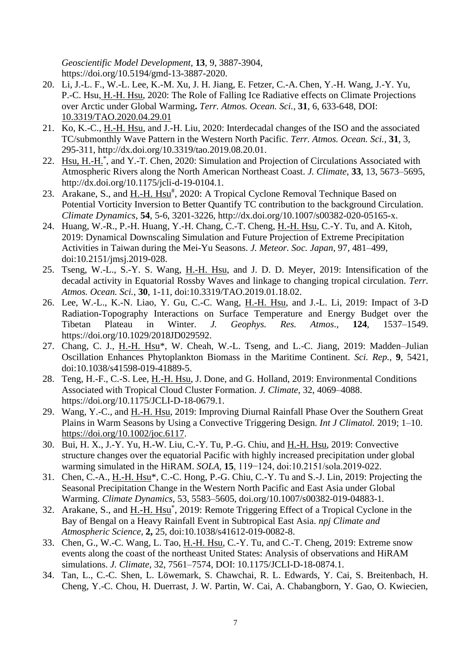*Geoscientific Model Development*, **13**, 9, 3887-3904, https://doi.org/10.5194/gmd-13-3887-2020.

- 20. Li, J.-L. F., W.-L. Lee, K.-M. Xu, J. H. Jiang, E. Fetzer, C.-A. Chen, Y.-H. Wang, J.-Y. Yu, P.-C. Hsu, H.-H. Hsu, 2020: The Role of Falling Ice Radiative effects on Climate Projections over Arctic under Global Warming**.** *Terr. Atmos. Ocean. Sci.*, **31**, 6, 633-648, DOI: [10.3319/TAO.2020.04.29.01](https://doi.org/10.3319/TAO.2020.04.29.01)
- 21. Ko, K.-C., H.-H. Hsu, and J.-H. Liu, 2020: Interdecadal changes of the ISO and the associated TC/submonthly Wave Pattern in the Western North Pacific. *Terr. Atmos. Ocean. Sci.*, **31**, 3, 295-311, http://dx.doi.org/10.3319/tao.2019.08.20.01.
- 22. Hsu, H.-H.<sup>\*</sup>, and Y.-T. Chen, 2020: Simulation and Projection of Circulations Associated with Atmospheric Rivers along the North American Northeast Coast. *J. Climate*, **33**, 13, 5673–5695, http://dx.doi.org/10.1175/jcli-d-19-0104.1.
- 23. Arakane, S., and H.-H. Hsu<sup>#</sup>, 2020: A Tropical Cyclone Removal Technique Based on Potential Vorticity Inversion to Better Quantify TC contribution to the background Circulation. *Climate Dynamics*, **54**, 5-6, 3201-3226, http://dx.doi.org/10.1007/s00382-020-05165-x.
- 24. Huang, W.-R., P.-H. Huang, Y.-H. Chang, C.-T. Cheng, H.-H. Hsu, C.-Y. Tu, and A. Kitoh, 2019: Dynamical Downscaling Simulation and Future Projection of Extreme Precipitation Activities in Taiwan during the Mei-Yu Seasons. *J. Meteor. Soc. Japan*, 97, 481–499, doi:10.2151/jmsj.2019-028.
- 25. Tseng, W.-L., S.-Y. S. Wang, H.-H. Hsu, and J. D. D. Meyer, 2019: Intensification of the decadal activity in Equatorial Rossby Waves and linkage to changing tropical circulation. *Terr. Atmos. Ocean. Sci.*, **30**, 1-11, doi:10.3319/TAO.2019.01.18.02.
- 26. Lee, W.-L., K.-N. Liao, Y. Gu, C.-C. Wang, H.-H. Hsu, and J.-L. Li, 2019: Impact of 3-D Radiation-Topography Interactions on Surface Temperature and Energy Budget over the Tibetan Plateau in Winter. *J. Geophys. Res. Atmos*., **124**, 1537–1549. https://doi.org/10.1029/2018JD029592.
- 27. Chang, C. J., H.-H. Hsu\*, W. Cheah, W.-L. Tseng, and L.-C. Jiang, 2019: Madden-Julian Oscillation Enhances Phytoplankton Biomass in the Maritime Continent. *Sci. Rep.*, **9**, 5421, doi:10.1038/s41598-019-41889-5.
- 28. Teng, H.-F., C.-S. Lee, H.-H. Hsu, J. Done, and G. Holland, 2019: Environmental Conditions Associated with Tropical Cloud Cluster Formation. *J. Climate*, 32, 4069–4088. https://doi.org/10.1175/JCLI-D-18-0679.1.
- 29. Wang, Y.-C., and H.-H. Hsu, 2019: Improving Diurnal Rainfall Phase Over the Southern Great Plains in Warm Seasons by Using a Convective Triggering Design. *Int J Climatol.* 2019; 1–10. [https://doi.org/10.1002/joc.6117.](https://doi.org/10.1002/joc.6117)
- 30. Bui, H. X., J.-Y. Yu, H.-W. Liu, C.-Y. Tu, P.-G. Chiu, and H.-H. Hsu, 2019: Convective structure changes over the equatorial Pacific with highly increased precipitation under global warming simulated in the HiRAM. *SOLA*, **15**, 119−124, doi:10.2151/sola.2019-022.
- 31. Chen, C.-A., H.-H. Hsu\*, C.-C. Hong, P.-G. Chiu, C.-Y. Tu and S.-J. Lin, 2019: Projecting the Seasonal Precipitation Change in the Western North Pacific and East Asia under Global Warming. *Climate Dynamics,* 53, 5583–5605, doi.org/10.1007/s00382-019-04883-1*.*
- 32. Arakane, S., and H.-H. Hsu<sup>\*</sup>, 2019: Remote Triggering Effect of a Tropical Cyclone in the Bay of Bengal on a Heavy Rainfall Event in Subtropical East Asia. *npj Climate and Atmospheric Science*, **2,** 25, doi:10.1038/s41612-019-0082-8.
- 33. Chen, G., W.-C. Wang, L. Tao, H.-H. Hsu, C.-Y. Tu, and C.-T. Cheng, 2019: Extreme snow events along the coast of the northeast United States: Analysis of observations and HiRAM simulations. *J. Climate*, 32, 7561–7574, DOI: 10.1175/JCLI-D-18-0874.1.
- 34. Tan, L., C.-C. Shen, L. Löwemark, S. Chawchai, R. L. Edwards, Y. Cai, S. Breitenbach, H. Cheng, Y.-C. Chou, H. Duerrast, J. W. Partin, W. Cai, A. Chabangborn, Y. Gao, O. Kwiecien,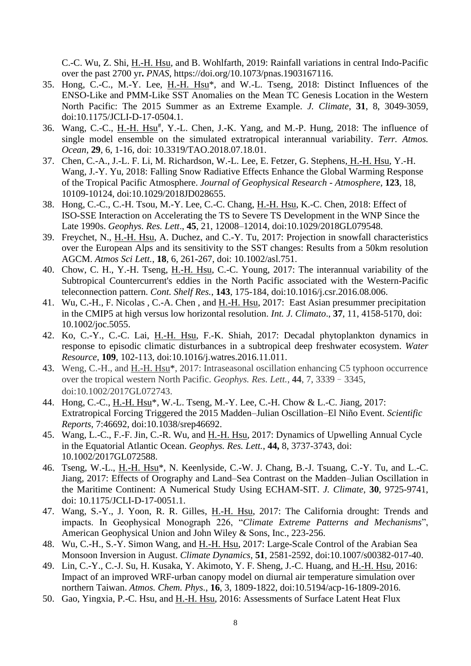C.-C. Wu, Z. Shi, H.-H. Hsu, and B. Wohlfarth, 2019: Rainfall variations in central Indo-Pacific over the past 2700 yr**.** *PNAS*, https://doi.org/10.1073/pnas.1903167116.

- 35. Hong, C.-C., M.-Y. Lee, H.-H. Hsu\*, and W.-L. Tseng, 2018: Distinct Influences of the ENSO-Like and PMM-Like SST Anomalies on the Mean TC Genesis Location in the Western North Pacific: The 2015 Summer as an Extreme Example. *J. Climate*, **31**, 8, 3049-3059, doi:10.1175/JCLI-D-17-0504.1.
- 36. Wang, C.-C., H.-H. Hsu<sup>#</sup>, Y.-L. Chen, J.-K. Yang, and M.-P. Hung, 2018: The influence of single model ensemble on the simulated extratropical interannual variability. *Terr. Atmos. Ocean,* **29**, 6, 1-16, doi: 10.3319/TAO.2018.07.18.01.
- 37. Chen, C.-A., J.-L. F. Li, M. Richardson, W.-L. Lee, E. Fetzer, G. Stephens, H.-H. Hsu, Y.-H. Wang, J.-Y. Yu, 2018: Falling Snow Radiative Effects Enhance the Global Warming Response of the Tropical Pacific Atmosphere. *Journal of Geophysical Research - Atmosphere*, **123**, 18, 10109-10124, doi:10.1029/2018JD028655.
- 38. Hong, C.-C., C.-H. Tsou, M.-Y. Lee, C.-C. Chang, H.-H. Hsu, K.-C. Chen, 2018: Effect of ISO-SSE Interaction on Accelerating the TS to Severe TS Development in the WNP Since the Late 1990s. *Geophys. Res. Lett*., **45**, 21, 12008–12014, doi:10.1029/2018GL079548.
- 39. Freychet, N., H.-H. Hsu, A. Duchez, and C.-Y. Tu, 2017: Projection in snowfall characteristics over the European Alps and its sensitivity to the SST changes: Results from a 50km resolution AGCM. *Atmos Sci Lett.*, **18**, 6, 261-267, doi: 10.1002/asl.751.
- 40. Chow, C. H., Y.-H. Tseng, H.-H. Hsu, C.-C. Young, 2017: The interannual variability of the Subtropical Countercurrent's eddies in the North Pacific associated with the Western-Pacific teleconnection pattern. *Cont. Shelf Res.*, **143**, 175-184, doi:10.1016/j.csr.2016.08.006.
- 41. Wu, C.-H., F. Nicolas , C.-A. Chen , and H.-H. Hsu, 2017: East Asian presummer precipitation in the CMIP5 at high versus low horizontal resolution. *Int. J. Climato*., **37**, 11, 4158-5170, doi: 10.1002/joc.5055.
- 42. Ko, C.-Y., C.-C. Lai, H.-H. Hsu, F.-K. Shiah, 2017: Decadal phytoplankton dynamics in response to episodic climatic disturbances in a subtropical deep freshwater ecosystem. *Water Resource*, **109**, 102-113, doi:10.1016/j.watres.2016.11.011.
- 43. Weng, C.-H., and H.-H. Hsu\*, 2017: Intraseasonal oscillation enhancing C5 typhoon occurrence over the tropical western North Pacific. *Geophys. Res. Lett.*, **44**, 7, 3339–3345, doi:10.1002/2017GL072743.
- 44. Hong, C.-C., H.-H. Hsu\*, W.-L. Tseng, M.-Y. Lee, C.-H. Chow & L.-C. Jiang, 2017: Extratropical Forcing Triggered the 2015 Madden–Julian Oscillation–El Niño Event. *Scientific Reports*, 7:46692, doi:10.1038/srep46692.
- 45. Wang, L.-C., F.-F. Jin, C.-R. Wu, and H.-H. Hsu, 2017: Dynamics of Upwelling Annual Cycle in the Equatorial Atlantic Ocean. *Geophys. Res. Lett.*, **44,** 8, 3737-3743, doi: 10.1002/2017GL072588.
- 46. Tseng, W.-L., H.-H. Hsu\*, N. Keenlyside, C.-W. J. Chang, B.-J. Tsuang, C.-Y. Tu, and L.-C. Jiang, 2017: Effects of Orography and Land–Sea Contrast on the Madden–Julian Oscillation in the Maritime Continent: A Numerical Study Using ECHAM-SIT. *J. Climate*, **30**, 9725-9741, doi: 10.1175/JCLI-D-17-0051.1.
- 47. Wang, S.-Y., J. Yoon, R. R. Gilles, H.-H. Hsu, 2017: The California drought: Trends and impacts. In Geophysical Monograph 226, "*Climate Extreme Patterns and Mechanisms*", American Geophysical Union and John Wiley & Sons, Inc., 223-256.
- 48. Wu, C.-H., S.-Y. Simon Wang, and H.-H. Hsu, 2017: Large-Scale Control of the Arabian Sea Monsoon Inversion in August. *Climate Dynamics*, **51**, 2581-2592, doi:10.1007/s00382-017-40.
- 49. Lin, C.-Y., C.-J. Su, H. Kusaka, Y. Akimoto, Y. F. Sheng, J.-C. Huang, and H.-H. Hsu, 2016: Impact of an improved WRF-urban canopy model on diurnal air temperature simulation over northern Taiwan. *Atmos. Chem. Phys.*, **16**, 3, 1809-1822, doi:10.5194/acp-16-1809-2016.
- 50. Gao, Yingxia, P.-C. Hsu, and H.-H. Hsu, 2016: Assessments of Surface Latent Heat Flux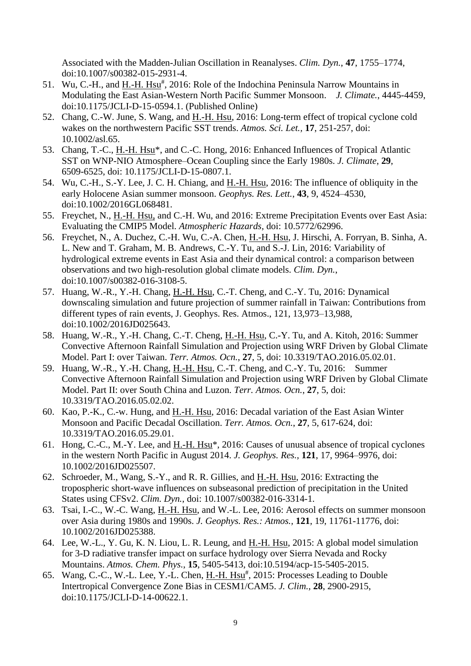Associated with the Madden-Julian Oscillation in Reanalyses. *Clim. Dyn.*, **47**, 1755–1774, doi:10.1007/s00382-015-2931-4.

- 51. Wu, C.-H., and  $H.H. Hsu^{\#}$ , 2016: Role of the Indochina Peninsula Narrow Mountains in Modulating the East Asian-Western North Pacific Summer Monsoon. *J. Climate.*, 4445-4459, [doi:10.1175/JCLI-D-15-0594.1.](http://dx.doi.org/10.1175/JCLI-D-15-0594.1) (Published Online)
- 52. Chang, C.-W. June, S. Wang, and H.-H. Hsu, 2016: Long-term effect of tropical cyclone cold wakes on the northwestern Pacific SST trends. *Atmos. Sci. Let.,* **17**, 251-257, doi: 10.1002/asl.65.
- 53. Chang, T.-C., H.-H. Hsu<sup>\*</sup>, and C.-C. Hong, 2016: Enhanced Influences of Tropical Atlantic SST on WNP-NIO Atmosphere–Ocean Coupling since the Early 1980s. *J. Climate*, **29**, 6509-6525, doi: 10.1175/JCLI-D-15-0807.1.
- 54. Wu, C.-H., S.-Y. Lee, J. C. H. Chiang, and H.-H. Hsu, 2016: The influence of obliquity in the early Holocene Asian summer monsoon. *Geophys. Res. Lett.*, **43**, 9, 4524–4530, doi:10.1002/2016GL068481.
- 55. Freychet, N., H.-H. Hsu, and C.-H. Wu, and 2016: Extreme Precipitation Events over East Asia: Evaluating the CMIP5 Model. *Atmospheric Hazards,* doi: 10.5772/62996.
- 56. Freychet, N., A. Duchez, C.-H. Wu, C.-A. Chen, H.-H. Hsu, J. Hirschi, A. Forryan, B. Sinha, A. L. New and T. Graham, M. B. Andrews, C.-Y. Tu, and S.-J. Lin, 2016: Variability of hydrological extreme events in East Asia and their dynamical control: a comparison between observations and two high-resolution global climate models. *Clim. Dyn.*, doi:10.1007/s00382-016-3108-5.
- 57. Huang, W.-R., Y.-H. Chang, H.-H. Hsu, C.-T. Cheng, and C.-Y. Tu, 2016: Dynamical downscaling simulation and future projection of summer rainfall in Taiwan: Contributions from different types of rain events, J. Geophys. Res. Atmos., 121, 13,973–13,988, doi:10.1002/2016JD025643.
- 58. Huang, W.-R., Y.-H. Chang, C.-T. Cheng, H.-H. Hsu, C.-Y. Tu, and A. Kitoh, 2016: Summer Convective Afternoon Rainfall Simulation and Projection using WRF Driven by Global Climate Model. Part I: over Taiwan. *Terr. Atmos. Ocn.*, **27**, 5, doi: 10.3319/TAO.2016.05.02.01.
- 59. Huang, W.-R., Y.-H. Chang, H.-H. Hsu, C.-T. Cheng, and C.-Y. Tu, 2016: Summer Convective Afternoon Rainfall Simulation and Projection using WRF Driven by Global Climate Model. Part II: over South China and Luzon. *Terr. Atmos. Ocn.*, **27**, 5, doi: 10.3319/TAO.2016.05.02.02.
- 60. Kao, P.-K., C.-w. Hung, and H.-H. Hsu, 2016: Decadal variation of the East Asian Winter Monsoon and Pacific Decadal Oscillation. *Terr. Atmos. Ocn.*, **27**, 5, 617-624, doi: 10.3319/TAO.2016.05.29.01.
- 61. Hong, C.-C., M.-Y. Lee, and H.-H. Hsu\*, 2016: Causes of unusual absence of tropical cyclones in the western North Pacific in August 2014. *J. Geophys. Res.,* **121**, 17, 9964–9976, doi: 10.1002/2016JD025507.
- 62. Schroeder, M., Wang, S.-Y., and R. R. Gillies, and H.-H. Hsu, 2016: Extracting the tropospheric short-wave influences on subseasonal prediction of precipitation in the United States using CFSv2. *Clim. Dyn.*, doi: 10.1007/s00382-016-3314-1.
- 63. Tsai, I.-C., W.-C. Wang, H.-H. Hsu, and W.-L. Lee, 2016: Aerosol effects on summer monsoon over Asia during 1980s and 1990s. *J. Geophys. Res.: Atmos.,* **121**, 19, 11761-11776, doi: 10.1002/2016JD025388.
- 64. Lee, W.-L., Y. Gu, K. N. Liou, L. R. Leung, and H.-H. Hsu, 2015: A global model simulation for 3-D radiative transfer impact on surface hydrology over Sierra Nevada and Rocky Mountains. *Atmos. Chem. Phys.*, **15**, 5405-5413, doi:10.5194/acp-15-5405-2015.
- 65. Wang, C.-C., W.-L. Lee, Y.-L. Chen, H.-H. Hsu<sup>#</sup>, 2015: Processes Leading to Double Intertropical Convergence Zone Bias in CESM1/CAM5. *J. Clim.*, **28**, 2900-2915, doi:10.1175/JCLI-D-14-00622.1.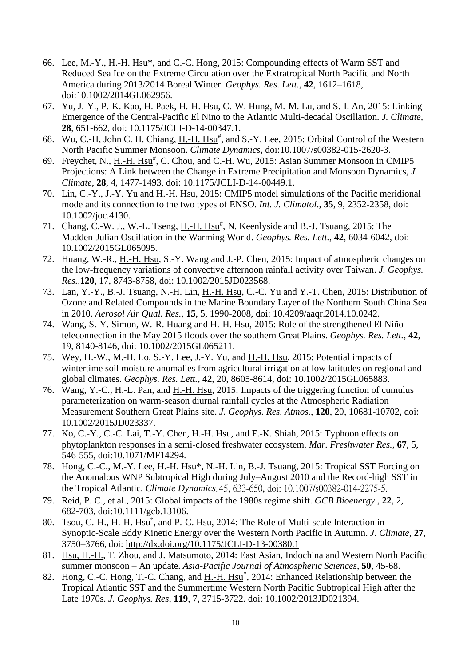- 66. Lee, M.-Y., H.-H. Hsu\*, and C.-C. Hong, 2015: Compounding effects of Warm SST and Reduced Sea Ice on the Extreme Circulation over the Extratropical North Pacific and North America during 2013/2014 Boreal Winter. *Geophys. Res. Lett.*, **42**, 1612–1618, doi:10.1002/2014GL062956.
- 67. Yu, J.-Y., P.-K. Kao, H. Paek, H.-H. Hsu, C.-W. Hung, M.-M. Lu, and S.-I. An, 2015: Linking Emergence of the Central-Pacific El Nino to the Atlantic Multi-decadal Oscillation. *J. Climate,*  **28**, 651-662, doi: 10.1175/JCLI-D-14-00347.1.
- 68. Wu, C.-H, John C. H. Chiang, H.-H. Hsu<sup>#</sup>, and S.-Y. Lee, 2015: Orbital Control of the Western North Pacific Summer Monsoon. *Climate Dynamics*, doi:10.1007/s00382-015-2620-3.
- 69. Freychet, N., H.-H. Hsu<sup>#</sup>, C. Chou, and C.-H. Wu, 2015: Asian Summer Monsoon in CMIP5 Projections: A Link between the Change in Extreme Precipitation and Monsoon Dynamics, *J. Climate,* **28**, 4, 1477-1493, doi: 10.1175/JCLI-D-14-00449.1.
- 70. Lin, C.-Y., J.-Y. Yu and H.-H. Hsu, 2015: CMIP5 model simulations of the Pacific meridional mode and its connection to the two types of ENSO. *Int. J. Climatol*., **35**, 9, 2352-2358, doi: 10.1002/joc.4130.
- 71. Chang, C.-W. J., W.-L. Tseng,  $H.H. Hsu^{\#}$ , N. Keenlyside and B.-J. Tsuang, 2015: The Madden-Julian Oscillation in the Warming World. *Geophys. Res. Lett.*, **42**, 6034-6042, doi: 10.1002/2015GL065095.
- 72. Huang, W.-R., H.-H. Hsu, S.-Y. Wang and J.-P. Chen, 2015: Impact of atmospheric changes on the low-frequency variations of convective afternoon rainfall activity over Taiwan. *J. Geophys. Res.,***120**, 17, 8743-8758, doi: 10.1002/2015JD023568.
- 73. Lan, Y.-Y., B.-J. Tsuang, N.-H. Lin, H.-H. Hsu, C.-C. Yu and Y.-T. Chen, 2015: Distribution of Ozone and Related Compounds in the Marine Boundary Layer of the Northern South China Sea in 2010. *Aerosol Air Qual. Res.*, **15**, 5, 1990-2008, doi: 10.4209/aaqr.2014.10.0242.
- 74. Wang, S.-Y. Simon, W.-R. Huang and H.-H. Hsu, 2015: Role of the strengthened El Niño teleconnection in the May 2015 floods over the southern Great Plains. *Geophys. Res. Lett.*, **42**, 19, 8140-8146, doi: 10.1002/2015GL065211.
- 75. Wey, H.-W., M.-H. Lo, S.-Y. Lee, J.-Y. Yu, and H.-H. Hsu, 2015: Potential impacts of wintertime soil moisture anomalies from agricultural irrigation at low latitudes on regional and global climates. *Geophys. Res. Lett.*, **42**, 20, 8605-8614, doi: 10.1002/2015GL065883.
- 76. Wang, Y.-C., H.-L. Pan, and H.-H. Hsu, 2015: Impacts of the triggering function of cumulus parameterization on warm-season diurnal rainfall cycles at the Atmospheric Radiation Measurement Southern Great Plains site. *J. Geophys. Res. Atmos.*, **120**, 20, 10681-10702, doi: 10.1002/2015JD023337.
- 77. Ko, C.-Y., C.-C. Lai, T.-Y. Chen, H.-H. Hsu, and F.-K. Shiah, 2015: Typhoon effects on phytoplankton responses in a semi-closed freshwater ecosystem. *Mar. Freshwater Res.*, **67**, 5, 546-555, doi:10.1071/MF14294.
- 78. Hong, C.-C., M.-Y. Lee, H.-H. Hsu<sup>\*</sup>, N.-H. Lin, B.-J. Tsuang, 2015: Tropical SST Forcing on the Anomalous WNP Subtropical High during July–August 2010 and the Record-high SST in the Tropical Atlantic. *Climate Dynamics*, 45, 633-650, doi: 10.1007/s00382-014-2275-5.
- 79. Reid, P. C., et al., 2015: Global impacts of the 1980s regime shift. *GCB Bioenergy*., **22**, 2, 682-703, doi:10.1111/gcb.13106.
- 80. Tsou, C.-H., H.-H. Hsu<sup>\*</sup>, and P.-C. Hsu, 2014: The Role of Multi-scale Interaction in Synoptic-Scale Eddy Kinetic Energy over the Western North Pacific in Autumn. *J. Climate*, **27**, 3750–3766, doi: <http://dx.doi.org/10.1175/JCLI-D-13-00380.1>
- 81. Hsu, H.-H., T. Zhou, and J. Matsumoto, 2014: East Asian, Indochina and Western North Pacific summer monsoon – An update. *Asia-Pacific Journal of Atmospheric Sciences*, **50**, 45-68.
- 82. Hong, C.-C. Hong, T.-C. Chang, and H.-H. Hsu<sup>\*</sup>, 2014: Enhanced Relationship between the Tropical Atlantic SST and the Summertime Western North Pacific Subtropical High after the Late 1970s. *J. Geophys. Res*, **119**, 7, 3715-3722*.* doi: 10.1002/2013JD021394.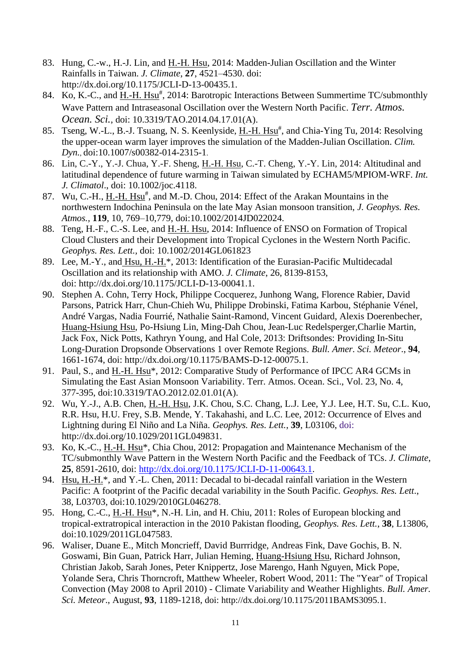- 83. Hung, C.-w., H.-J. Lin, and H.-H. Hsu, 2014: Madden-Julian Oscillation and the Winter Rainfalls in Taiwan. *J. Climate*, **27**, 4521–4530. doi: http://dx.doi.org/10.1175/JCLI-D-13-00435.1.
- 84. Ko, K.-C., and H.-H. Hsu<sup>#</sup>, 2014: Barotropic Interactions Between Summertime TC/submonthly Wave Pattern and Intraseasonal Oscillation over the Western North Pacific. *Terr. Atmos. Ocean. Sci.*, doi: 10.3319/TAO.2014.04.17.01(A).
- 85. Tseng, W.-L., B.-J. Tsuang, N. S. Keenlyside, H.-H. Hsu<sup>#</sup>, and Chia-Ying Tu, 2014: Resolving the upper-ocean warm layer improves the simulation of the Madden-Julian Oscillation. *Clim. Dyn.*, doi:10.1007/s00382-014-2315-1.
- 86. Lin, C.-Y., Y.-J. Chua, Y.-F. Sheng, H.-H. Hsu, C.-T. Cheng, Y.-Y. Lin, 2014: Altitudinal and latitudinal dependence of future warming in Taiwan simulated by ECHAM5/MPIOM-WRF. *Int. J. Climatol*., doi: 10.1002/joc.4118.
- 87. Wu, C.-H.,  $H H$ . Hsu<sup>#</sup>, and M.-D. Chou, 2014: Effect of the Arakan Mountains in the northwestern Indochina Peninsula on the late May Asian monsoon transition, *J. Geophys. Res. Atmos.,* **119**, 10, 769–10,779, doi:10.1002/2014JD022024.
- 88. Teng, H.-F., C.-S. Lee, and H.-H. Hsu, 2014: Influence of ENSO on Formation of Tropical Cloud Clusters and their Development into Tropical Cyclones in the Western North Pacific. *Geophys. Res. Lett.,* doi: 10.1002/2014GL061823
- 89. Lee, M.-Y., and Hsu, H.-H.<sup>\*</sup>, 2013: Identification of the Eurasian-Pacific Multidecadal Oscillation and its relationship with AMO. *J. Climate*, 26, 8139-8153, doi: http://dx.doi.org/10.1175/JCLI-D-13-00041.1.
- 90. Stephen A. Cohn, Terry Hock, Philippe Cocquerez, Junhong Wang, Florence Rabier, David Parsons, Patrick Harr, Chun-Chieh Wu, Philippe Drobinski, Fatima Karbou, Stéphanie Vénel, André Vargas, Nadia Fourrié, Nathalie Saint-Ramond, Vincent Guidard, Alexis Doerenbecher, Huang-Hsiung Hsu, Po-Hsiung Lin, Ming-Dah Chou, Jean-Luc Redelsperger,Charlie Martin, Jack Fox, Nick Potts, Kathryn Young, and Hal Cole, 2013: Driftsondes: Providing In-Situ Long-Duration Dropsonde Observations 1 over Remote Regions. *Bull. Amer. Sci. Meteor*., **94**, 1661-1674, doi: http://dx.doi.org/10.1175/BAMS-D-12-00075.1.
- 91. Paul, S., and H.-H. Hsu\*, 2012: Comparative Study of Performance of IPCC AR4 GCMs in Simulating the East Asian Monsoon Variability. Terr. Atmos. Ocean. Sci., Vol. 23, No. 4, 377-395, doi:10.3319/TAO.2012.02.01.01(A).
- 92. Wu, Y.-J., A.B. Chen, H.-H. Hsu, J.K. Chou, S.C. Chang, L.J. Lee, Y.J. Lee, H.T. Su, C.L. Kuo, R.R. Hsu, H.U. Frey, S.B. Mende, Y. Takahashi, and L.C. Lee, 2012: Occurrence of Elves and Lightning during El Niño and La Niña. *Geophys. Res. Lett.*, **39**, L03106, doi: http://dx.doi.org/10.1029/2011GL049831.
- 93. Ko, K.-C., H.-H. Hsu\*, Chia Chou, 2012: Propagation and Maintenance Mechanism of the TC/submonthly Wave Pattern in the Western North Pacific and the Feedback of TCs. *J. Climate*, **25**, 8591-2610, doi: [http://dx.doi.org/10.1175/JCLI-D-11-00643.1.](http://dx.doi.org/10.1175/JCLI-D-11-00643.1)
- 94. Hsu, H.-H.\*, and Y.-L. Chen, 2011: Decadal to bi-decadal rainfall variation in the Western Pacific: A footprint of the Pacific decadal variability in the South Pacific. *Geophys. Res. Lett*., 38, L03703, doi:10.1029/2010GL046278.
- 95. Hong, C.‐C., H.‐H. Hsu\*, N.‐H. Lin, and H. Chiu, 2011: Roles of European blocking and tropical‐extratropical interaction in the 2010 Pakistan flooding, *Geophys. Res. Lett.*, **38**, L13806, doi:10.1029/2011GL047583.
- 96. Waliser, Duane E., Mitch Moncrieff, David Burrridge, Andreas Fink, Dave Gochis, B. N. Goswami, Bin Guan, Patrick Harr, Julian Heming, Huang-Hsiung Hsu, Richard Johnson, Christian Jakob, Sarah Jones, Peter Knippertz, Jose Marengo, Hanh Nguyen, Mick Pope, Yolande Sera, Chris Thorncroft, Matthew Wheeler, Robert Wood, 2011: The "Year" of Tropical Convection (May 2008 to April 2010) - Climate Variability and Weather Highlights. *Bull. Amer. Sci. Meteor*., August, **93**, 1189-1218, doi: http://dx.doi.org/10.1175/2011BAMS3095.1.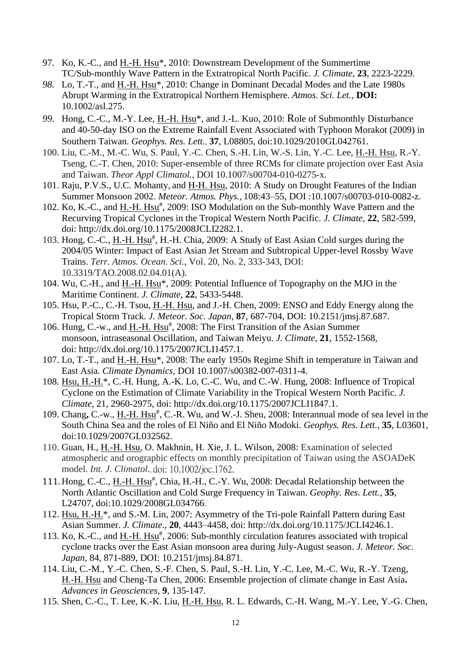- 97. Ko, K.-C., and H.-H. Hsu\*, 2010: Downstream Development of the Summertime TC/Sub-monthly Wave Pattern in the Extratropical North Pacific. *J. Climate*, **23**, 2223-2229.
- 98. Lo, T.-T., and <u>H.-H. Hsu</u>\*, 2010: Change in Dominant Decadal Modes and the Late 1980s Abrupt Warming in the Extratropical Northern Hemisphere. *Atmos. Sci. Let.,* **DOI:**  10.1002/asl.275.
- *99.* Hong, C.-C., M.-Y. Lee, H.-H. Hsu\*, and J.-L. Kuo, 2010: Role of Submonthly Disturbance and 40-50-day ISO on the Extreme Rainfall Event Associated with Typhoon Morakot (2009) in Southern Taiwan. *Geophys. Res. Lett.*, **37**, L08805, doi:10.1029/2010GL042761*.*
- 100. Liu, C.-M., M.-C. Wu, S. Paul, Y.-C. Chen, S.-H. Lin, W.-S. Lin, Y.-C. Lee, H.-H. Hsu, R.-Y. Tseng, C.-T. Chen, 2010: Super-ensemble of three RCMs for climate projection over East Asia and Taiwan. *Theor Appl Climatol.*, DOI 10.1007/s00704-010-0275-x.
- 101. Raju, P.V.S., U.C. Mohanty, and H-H. Hsu, 2010: A Study on Drought Features of the Indian Summer Monsoon 2002. *Meteor. Atmos. Phys.*, 108:43–55, DOI :10.1007/s00703-010-0082-z.
- 102. Ko, K.-C., and H.-H. Hsu<sup>#</sup>, 2009: ISO Modulation on the Sub-monthly Wave Pattern and the Recurving Tropical Cyclones in the Tropical Western North Pacific. *J. Climate,* **22**, 582-599, doi: http://dx.doi.org/10.1175/2008JCLI2282.1*.*
- 103. Hong, C.-C., H.-H. Hsu<sup>#</sup>, H.-H. Chia, 2009: A Study of East Asian Cold surges during the 2004/05 Winter: Impact of East Asian Jet Stream and Subtropical Upper-level Rossby Wave Trains. *Terr. Atmos. Ocean. Sci.*, Vol. 20, No. 2, 333-343, DOI: 10.3319/TAO.2008.02.04.01(A).
- 104. Wu, C.-H., and H.-H. Hsu\*, 2009: Potential Influence of Topography on the MJO in the Maritime Continent. *J. Climate*, **22**, 5433-5448.
- 105. Hsu, P.-C., C.-H. Tsou, H.-H. Hsu, and J.-H. Chen, 2009: ENSO and Eddy Energy along the Tropical Storm Track. *J. Meteor. Soc. Japan*, **87**, 687-704, DOI: 10.2151/jmsj.87.687.
- 106. Hung, C.-w., and  $\underline{H.-H. Hsu^*}$ , 2008: The First Transition of the Asian Summer monsoon, intraseasonal Oscillation, and Taiwan Meiyu. *J. Climate*, **21**, 1552-1568, doi: http://dx.doi.org/10.1175/2007JCLI1457.1.
- 107. Lo, T.-T., and H.-H. Hsu\*, 2008: The early 1950s Regime Shift in temperature in Taiwan and East Asia. *Climate Dynamics*, DOI 10.1007/s00382-007-0311-4.
- 108. Hsu, H.-H.\*, C.-H. Hung, A.-K. Lo, C.-C. Wu, and C.-W. Hung, 2008: Influence of Tropical Cyclone on the Estimation of Climate Variability in the Tropical Western North Pacific. *J. Climate*, 21, 2960-2975, doi: http://dx.doi.org/10.1175/2007JCLI1847.1.
- 109. Chang, C.-w., H.-H. Hsu<sup>#</sup>, C.-R. Wu, and W.-J. Sheu, 2008: Interannual mode of sea level in the South China Sea and the roles of El Niño and El Niño Modoki. *Geophys. Res. Lett.*, **35**, L03601, doi:10.1029/2007GL032562.
- 110. Guan, H., H.-H. Hsu, O. Makhnin, H. Xie, J. L. Wilson, 2008: Examination of selected atmospheric and orographic effects on monthly precipitation of Taiwan using the ASOADeK model. *Int. J. Climatol.*, doi: 10.1002/joc.1762.
- 111. Hong, C.-C., H.-H. Hsu<sup>#</sup>, Chia, H.-H., C.-Y. Wu, 2008: Decadal Relationship between the North Atlantic Oscillation and Cold Surge Frequency in Taiwan. *Geophy. Res. Lett.*, **35**, L24707, doi:10.1029/2008GL034766.
- 112. Hsu, H.-H.\*, and S.-M. Lin, 2007: Asymmetry of the Tri-pole Rainfall Pattern during East Asian Summer. *J. Climate*., **20**, 4443–4458, doi: http://dx.doi.org/10.1175/JCLI4246.1.
- 113. Ko, K.-C., and H.-H. Hsu<sup>#</sup>, 2006: Sub-monthly circulation features associated with tropical cyclone tracks over the East Asian monsoon area during July-August season. *J. Meteor. Soc. Japan*, 84, 871-889, DOI: 10.2151/jmsj.84.871.
- 114. Liu, C.-M., Y.-C. Chen, S.-F. Chen, S. Paul, S.-H. Lin, Y.-C. Lee, M.-C. Wu, R.-Y. Tzeng, H.-H. Hsu and Cheng-Ta Chen, 2006: Ensemble projection of climate change in East Asia**.**  *Advances in Geosciences*, **9**, 135-147.
- 115. Shen, C.-C., T. Lee, K.-K. Liu, H.-H. Hsu, R. L. Edwards, C.-H. Wang, M.-Y. Lee, Y.-G. Chen,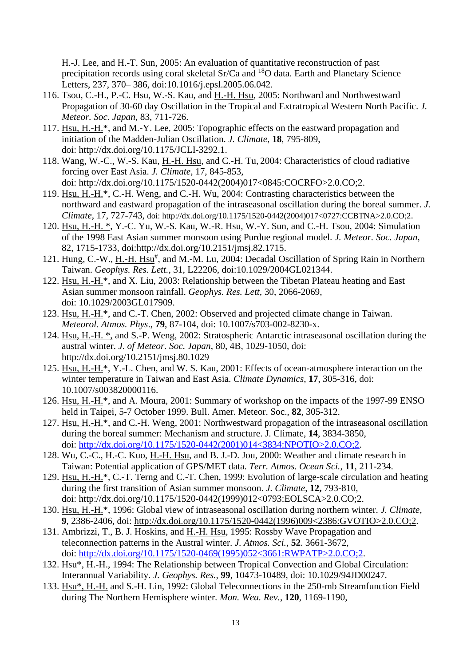H.-J. Lee, and H.-T. Sun, 2005: An evaluation of quantitative reconstruction of past precipitation records using coral skeletal Sr/Ca and <sup>18</sup>O data. Earth and Planetary Science Letters, 237, 370– 386, doi:10.1016/j.epsl.2005.06.042.

- 116. Tsou, C.-H., P.-C. Hsu, W.-S. Kau, and H.-H. Hsu, 2005: Northward and Northwestward Propagation of 30-60 day Oscillation in the Tropical and Extratropical Western North Pacific. *J. Meteor. Soc. Japan*, 83, 711-726.
- 117. Hsu, H.-H.\*, and M.-Y. Lee, 2005: Topographic effects on the eastward propagation and initiation of the Madden-Julian Oscillation. *J. Climate*, **18**, 795-809, doi: http://dx.doi.org/10.1175/JCLI-3292.1.
- 118. Wang, W.-C., W.-S. Kau, H.-H. Hsu, and C.-H. Tu, 2004: Characteristics of cloud radiative forcing over East Asia. *J. Climate*, 17, 845-853, doi: http://dx.doi.org/10.1175/1520-0442(2004)017<0845:COCRFO>2.0.CO;2.
- 119. Hsu, H.-H.\*, C.-H. Weng, and C.-H. Wu, 2004: Contrasting characteristics between the northward and eastward propagation of the intraseasonal oscillation during the boreal summer. *J. Climate*, 17, 727-743, doi: http://dx.doi.org/10.1175/1520-0442(2004)017<0727:CCBTNA>2.0.CO;2.
- 120. Hsu, H.-H. \*, Y.-C. Yu, W.-S. Kau, W.-R. Hsu, W.-Y. Sun, and C.-H. Tsou, 2004: Simulation of the 1998 East Asian summer monsoon using Purdue regional model. *J. Meteor. Soc. Japan*, 82, 1715-1733, doi:http://dx.doi.org/10.2151/jmsj.82.1715.
- 121. Hung, C.-W., H.-H. Hsu<sup>#</sup>, and M.-M. Lu, 2004: Decadal Oscillation of Spring Rain in Northern Taiwan. *Geophys. Res. Lett.*, 31, L22206, doi:10.1029/2004GL021344.
- 122. Hsu, H.-H.\*, and X. Liu, 2003: Relationship between the Tibetan Plateau heating and East Asian summer monsoon rainfall. *Geophys. Res. Lett,* 30, 2066-2069, doi: 10.1029/2003GL017909.
- 123. Hsu, H.-H.\*, and C.-T. Chen, 2002: Observed and projected climate change in Taiwan. *Meteorol. Atmos. Phys*., **79**, 87-104, doi: 10.1007/s703-002-8230-x.
- 124. Hsu, H.-H. \*, and S.-P. Weng, 2002: Stratospheric Antarctic intraseasonal oscillation during the austral winter. *J. of Meteor. Soc. Japan*, 80, 4B, 1029-1050, doi: http://dx.doi.org/10.2151/jmsj.80.1029
- 125. Hsu, H.-H.\*, Y.-L. Chen, and W. S. Kau, 2001: Effects of ocean-atmosphere interaction on the winter temperature in Taiwan and East Asia. *Climate Dynamics*, **17**, 305-316, doi: 10.1007/s003820000116.
- 126. Hsu, H.-H.\*, and A. Moura, 2001: Summary of workshop on the impacts of the 1997-99 ENSO held in Taipei, 5-7 October 1999. Bull. Amer. Meteor. Soc., **82**, 305-312.
- 127. Hsu, H.-H.\*, and C.-H. Weng, 2001: Northwestward propagation of the intraseasonal oscillation during the boreal summer: Mechanism and structure. J. Climate, **14**, 3834-3850, doi: [http://dx.doi.org/10.1175/1520-0442\(2001\)014<3834:NPOTIO>2.0.CO;2.](http://dx.doi.org/10.1175/1520-0442(2001)014%3c3834:NPOTIO%3e2.0.CO;2)
- 128. Wu, C.-C., H.-C. Kuo, H.-H. Hsu, and B. J.-D. Jou, 2000: Weather and climate research in Taiwan: Potential application of GPS/MET data. *Terr. Atmos. Ocean Sci.*, **11**, 211-234.
- 129. Hsu, H.-H.\*, C.-T. Terng and C.-T. Chen, 1999: Evolution of large-scale circulation and heating during the first transition of Asian summer monsoon. *J. Climate*, **12,** 793-810, doi: http://dx.doi.org/10.1175/1520-0442(1999)012<0793:EOLSCA>2.0.CO;2.
- 130. Hsu, H.-H.\*, 1996: Global view of intraseasonal oscillation during northern winter. *J. Climate*, **9**, 2386-2406, doi: [http://dx.doi.org/10.1175/1520-0442\(1996\)009<2386:GVOTIO>2.0.CO;2.](http://dx.doi.org/10.1175/1520-0442(1996)009%3c2386:GVOTIO%3e2.0.CO;2)
- 131. Ambrizzi, T., B. J. Hoskins, and H.-H. Hsu, 1995: Rossby Wave Propagation and teleconnection patterns in the Austral winter. *J. Atmos. Sci.*, **52**. 3661-3672, doi: [http://dx.doi.org/10.1175/1520-0469\(1995\)052<3661:RWPATP>2.0.CO;2.](http://dx.doi.org/10.1175/1520-0469(1995)052%3c3661:RWPATP%3e2.0.CO;2)
- 132. Hsu\*, H.-H., 1994: The Relationship between Tropical Convection and Global Circulation: Interannual Variability. *J. Geophys. Res.,* **99**, 10473-10489, doi: 10.1029/94JD00247*.*
- 133. Hsu\*, H.-H. and S.-H. Lin, 1992: Global Teleconnections in the 250-mb Streamfunction Field during The Northern Hemisphere winter. *Mon. Wea. Rev.*, **120**, 1169-1190,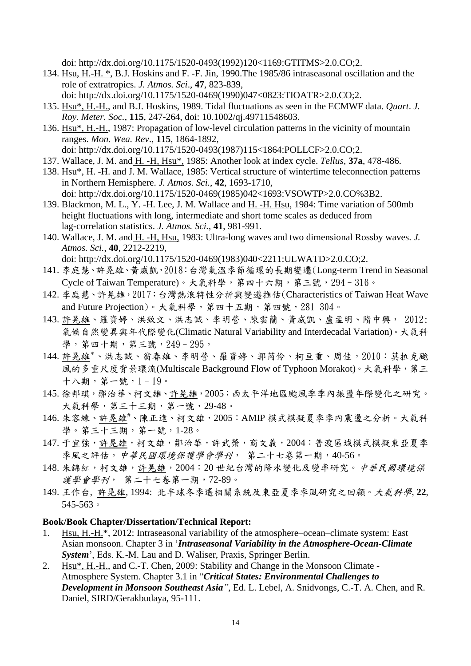doi: http://dx.doi.org/10.1175/1520-0493(1992)120<1169:GTITMS>2.0.CO;2.

- 134. Hsu, H.-H. \*, B.J. Hoskins and F. -F. Jin, 1990.The 1985/86 intraseasonal oscillation and the role of extratropics. *J. Atmos. Sci*., **47**, 823-839, doi: http://dx.doi.org/10.1175/1520-0469(1990)047<0823:TIOATR>2.0.CO;2.
- 135. Hsu\*, H.-H., and B.J. Hoskins, 1989. Tidal fluctuations as seen in the ECMWF data. *Quart*. *J. Roy. Meter. Soc.*, **115**, 247-264, doi: 10.1002/qj.49711548603.
- 136. Hsu\*, H.-H., 1987: Propagation of low-level circulation patterns in the vicinity of mountain ranges. *Mon. Wea. Rev*., **115**, 1864-1892,
- doi: http://dx.doi.org/10.1175/1520-0493(1987)115<1864:POLLCF>2.0.CO;2.
- 137. Wallace, J. M. and H. -H, Hsu\*, 1985: Another look at index cycle. *Tellus*, **37a**, 478-486.
- 138. Hsu\*, H. -H. and J. M. Wallace, 1985: Vertical structure of wintertime teleconnection patterns in Northern Hemisphere. *J. Atmos. Sci.*, **42**, 1693-1710, doi: http://dx.doi.org/10.1175/1520-0469(1985)042<1693:VSOWTP>2.0.CO%3B2.
- 139. Blackmon, M. L., Y. -H. Lee, J. M. Wallace and H. -H. Hsu, 1984: Time variation of 500mb height fluctuations with long, intermediate and short tome scales as deduced from lag-correlation statistics. *J. Atmos. Sci.*, **41**, 981-991.
- 140. Wallace, J. M. and H. -H, Hsu, 1983: Ultra-long waves and two dimensional Rossby waves. *J. Atmos. Sci.*, **40**, 2212-2219, doi: http://dx.doi.org/10.1175/1520-0469(1983)040<2211:ULWATD>2.0.CO;2.
- 141. 李庭慧、許晃雄、黃威凱,2018:台灣氣溫季節循環的長期變遷(Long-term Trend in Seasonal Cycle of Taiwan Temperature)。大氣科學,第四十六期,第三號,294–316。
- 142. 李庭慧、許晃雄,2017:台灣熱浪特性分析與變遷推估(Characteristics of Taiwan Heat Wave and Future Projection)。大氣科學,第四十五期,第四號,281-304。
- 143. 許晃雄、羅資婷、洪致文、洪志誠、李明營、陳雲蘭、黃威凱、盧孟明、隋中興, 2012: 氣候自然變異與年代際變化(Climatic Natural Variability and Interdecadal Variation)。大氣科 學,第四十期,第三號,249–295。
- 144. 許晃雄\*、洪志誠、翁春雄、李明營、羅資婷、郭芮伶、柯亘重、周佳,2010:莫拉克颱 風的多重尺度背景環流(Multiscale Background Flow of Typhoon Morakot)。大氣科學,第三  $+ \lambda$ 期, 第一號,  $1 - 19$ 。
- 145. 徐邦琪, 鄒治華、柯文雄、許晃雄, 2005: 西太平洋地區颱風季季內振盪年際變化之研究。 大氣科學,第三十三期,第一號,29-48。
- 146. 朱容練、許晃雄#、陳正達、柯文雄, 2005: AMIP 模式模擬夏季季內震盪之分析。大氣科 學。第三十三期,第一號,1-28。
- 147. 于宜強,許晃雄,柯文雄,鄒治華,許武榮,商文義,2004:普渡區域模式模擬東亞夏季 季風之評估。中華民國環境保護學會學刊, 第二十七卷第一期,40-56。
- 148. 朱錦紅,柯文雄,許晃雄, 2004: 20世紀台灣的降水變化及變率研究。中華民國環境保 護學會學刊, 第二十七卷第一期,72-89。
- 149. 王作台, 許晃雄, 1994: 北半球冬季遙相關系統及東亞夏季季風研究之回顧。大氣科學, **22**, 545-563。

#### **Book/Book Chapter/Dissertation/Technical Report:**

- 1. Hsu, H.-H.\*, 2012: Intraseasonal variability of the atmosphere–ocean–climate system: East Asian monsoon. Chapter 3 in '*Intraseasonal Variability in the Atmosphere-Ocean-Climate System*', Eds. K.-M. Lau and D. Waliser, Praxis, Springer Berlin.
- 2. Hsu\*, H.-H., and C.-T. Chen, 2009: Stability and Change in the Monsoon Climate Atmosphere System. Chapter 3.1 in "*Critical States: Environmental Challenges to Development in Monsoon Southeast Asia"*, Ed. L. Lebel, A. Snidvongs, C.-T. A. Chen, and R. Daniel, SIRD/Gerakbudaya, 95-111.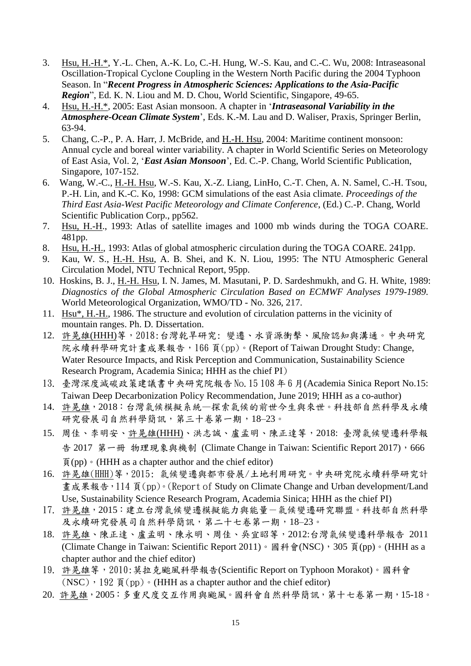- 3. Hsu, H.-H.\*, Y.-L. Chen, A.-K. Lo, C.-H. Hung, W.-S. Kau, and C.-C. Wu, 2008: Intraseasonal Oscillation-Tropical Cyclone Coupling in the Western North Pacific during the 2004 Typhoon Season. In "*Recent Progress in Atmospheric Sciences: Applications to the Asia-Pacific Region*", Ed. K. N. Liou and M. D. Chou, World Scientific, Singapore, 49-65.
- 4. Hsu, H.-H.\*, 2005: East Asian monsoon. A chapter in '*Intraseasonal Variability in the Atmosphere-Ocean Climate System*', Eds. K.-M. Lau and D. Waliser, Praxis, Springer Berlin, 63-94.
- 5. Chang, C.-P., P. A. Harr, J. McBride, and H.-H. Hsu, 2004: Maritime continent monsoon: Annual cycle and boreal winter variability. A chapter in World Scientific Series on Meteorology of East Asia, Vol. 2, '*East Asian Monsoon*', Ed. C.-P. Chang, World Scientific Publication, Singapore, 107-152.
- 6. Wang, W.-C., H.-H. Hsu, W.-S. Kau, X.-Z. Liang, LinHo, C.-T. Chen, A. N. Samel, C.-H. Tsou, P.-H. Lin, and K.-C. Ko, 1998: GCM simulations of the east Asia climate. *Proceedings of the Third East Asia-West Pacific Meteorology and Climate Conference*, (Ed.) C.-P. Chang, World Scientific Publication Corp., pp562.
- 7. Hsu, H.-H., 1993: Atlas of satellite images and 1000 mb winds during the TOGA COARE. 481pp.
- 8. Hsu, H.-H., 1993: Atlas of global atmospheric circulation during the TOGA COARE. 241pp.
- 9. Kau, W. S., H.-H. Hsu, A. B. Shei, and K. N. Liou, 1995: The NTU Atmospheric General Circulation Model, NTU Technical Report, 95pp.
- 10. Hoskins, B. J., H.-H. Hsu, I. N. James, M. Masutani, P. D. Sardeshmukh, and G. H. White, 1989: *Diagnostics of the Global Atmospheric Circulation Based on ECMWF Analyses 1979-1989*. World Meteorological Organization, WMO/TD - No. 326, 217.
- 11. Hsu\*, H.-H., 1986. The structure and evolution of circulation patterns in the vicinity of mountain ranges. Ph. D. Dissertation.
- 12. 許晃雄(HHH)等,2018:台灣乾旱研究: 變遷、水資源衝擊、風險認知與溝通。中央研究 院永續科學研究計畫成果報告,166 頁(pp)。(Report of Taiwan Drought Study: Change, Water Resource Impacts, and Risk Perception and Communication, Sustainability Science Research Program, Academia Sinica; HHH as the chief PI)
- 13. 臺灣深度減碳政策建議書中央研究院報告 No.15 108 年 6 月(Academia Sinica Report No.15: Taiwan Deep Decarbonization Policy Recommendation, June 2019; HHH as a co-author)
- 14. 許晃雄,2018:台灣氣候模擬系統—探索氣候的前世今生與來世。科技部自然科學及永續 研究發展司自然科學簡訊,第三十卷第一期,18-23。
- 15. 周佳、李明安、許晃雄(HHH)、洪志誠、盧孟明、陳正達等,2018: 臺灣氣候變遷科學報 告 2017 第一冊 物理現象與機制 (Climate Change in Taiwan: Scientific Report 2017), 666  $\overline{a}$ (pp)  $\cdot$  (HHH as a chapter author and the chief editor)
- 16. 許晃雄(HHH)等,2015: 氣候變遷與都市發展/土地利用研究。中央研究院永續科學研究計 畫成果報告, 114 頁(pp)。(Report of Study on Climate Change and Urban development/Land Use, Sustainability Science Research Program, Academia Sinica; HHH as the chief PI)
- 17. 許晃雄,2015:建立台灣氣候變遷模擬能力與能量-氣候變遷研究聯盟。科技部自然科學 及永續研究發展司自然科學簡訊,第二十七卷第一期,18–23。
- 18. 許晃雄、陳正達、盧孟明、陳永明、周佳、吳宜昭等,2012:台灣氣候變遷科學報告 2011 (Climate Change in Taiwan: Scientific Report 2011)。國科會(NSC), 305 頁(pp)。(HHH as a chapter author and the chief editor)
- 19. 許晃雄等,2010:莫拉克颱風科學報告(Scientific Report on Typhoon Morakot)。國科會  $(NSC)$ , 192  $\overline{a}$  (pp)  $\cdot$  (HHH as a chapter author and the chief editor)
- 20. 許晃雄,2005:多重尺度交互作用與颱風。國科會自然科學簡訊,第十七卷第一期,15-18。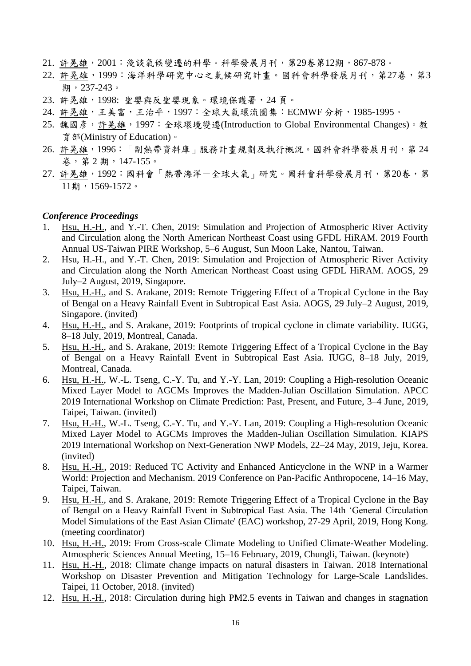- 21. 許晃雄, 2001: 淺談氣候變遷的科學。科學發展月刊, 第29卷第12期, 867-878。
- 22. 許晃雄,1999: 海洋科學研究中心之氣候研究計書。國科會科學發展月刊,第27卷,第3 期,237-243。
- 23. 許晃雄,1998: 聖嬰與反聖嬰現象。環境保護署,24 頁。
- 24. 許晃雄,王美富,王治平,1997:全球大氣環流圖集:ECMWF分析,1985-1995。
- 25. 魏國彥,許晃雄,1997:全球環境變遷(Introduction to Global Environmental Changes)。教 育部(Ministry of Education)。
- 26. 許晃雄,1996:「副熱帶資料庫」服務計畫規劃及執行概況。國科會科學發展月刊,第 24 卷,第 2 期,147-155。
- 27. 許晃雄,1992:國科會「熱帶海洋一全球大氣」研究。國科會科學發展月刊,第20卷,第 11期,1569-1572。

#### *Conference Proceedings*

- 1. Hsu, H.-H., and Y.-T. Chen, 2019: Simulation and Projection of Atmospheric River Activity and Circulation along the North American Northeast Coast using GFDL HiRAM. 2019 Fourth Annual US-Taiwan PIRE Workshop, 5–6 August, Sun Moon Lake, Nantou, Taiwan.
- 2. Hsu, H.-H., and Y.-T. Chen, 2019: Simulation and Projection of Atmospheric River Activity and Circulation along the North American Northeast Coast using GFDL HiRAM. AOGS, 29 July–2 August, 2019, Singapore.
- 3. Hsu, H.-H., and S. Arakane, 2019: Remote Triggering Effect of a Tropical Cyclone in the Bay of Bengal on a Heavy Rainfall Event in Subtropical East Asia. AOGS, 29 July–2 August, 2019, Singapore. (invited)
- 4. Hsu, H.-H., and S. Arakane, 2019: Footprints of tropical cyclone in climate variability. IUGG, 8–18 July, 2019, Montreal, Canada.
- 5. Hsu, H.-H., and S. Arakane, 2019: Remote Triggering Effect of a Tropical Cyclone in the Bay of Bengal on a Heavy Rainfall Event in Subtropical East Asia. IUGG, 8–18 July, 2019, Montreal, Canada.
- 6. Hsu, H.-H., W.-L. Tseng, C.-Y. Tu, and Y.-Y. Lan, 2019: Coupling a High-resolution Oceanic Mixed Layer Model to AGCMs Improves the Madden-Julian Oscillation Simulation. APCC 2019 International Workshop on Climate Prediction: Past, Present, and Future, 3–4 June, 2019, Taipei, Taiwan. (invited)
- 7. Hsu, H.-H., W.-L. Tseng, C.-Y. Tu, and Y.-Y. Lan, 2019: Coupling a High-resolution Oceanic Mixed Layer Model to AGCMs Improves the Madden-Julian Oscillation Simulation. KIAPS 2019 International Workshop on Next-Generation NWP Models, 22–24 May, 2019, Jeju, Korea. (invited)
- 8. Hsu, H.-H., 2019: Reduced TC Activity and Enhanced Anticyclone in the WNP in a Warmer World: Projection and Mechanism. 2019 Conference on Pan-Pacific Anthropocene, 14–16 May, Taipei, Taiwan.
- 9. Hsu, H.-H., and S. Arakane, 2019: Remote Triggering Effect of a Tropical Cyclone in the Bay of Bengal on a Heavy Rainfall Event in Subtropical East Asia. The 14th 'General Circulation Model Simulations of the East Asian Climate' (EAC) workshop, 27-29 April, 2019, Hong Kong. (meeting coordinator)
- 10. Hsu, H.-H., 2019: From Cross-scale Climate Modeling to Unified Climate-Weather Modeling. Atmospheric Sciences Annual Meeting, 15–16 February, 2019, Chungli, Taiwan. (keynote)
- 11. Hsu, H.-H., 2018: Climate change impacts on natural disasters in Taiwan. 2018 International Workshop on Disaster Prevention and Mitigation Technology for Large-Scale Landslides. Taipei, 11 October, 2018. (invited)
- 12. Hsu, H.-H., 2018: Circulation during high PM2.5 events in Taiwan and changes in stagnation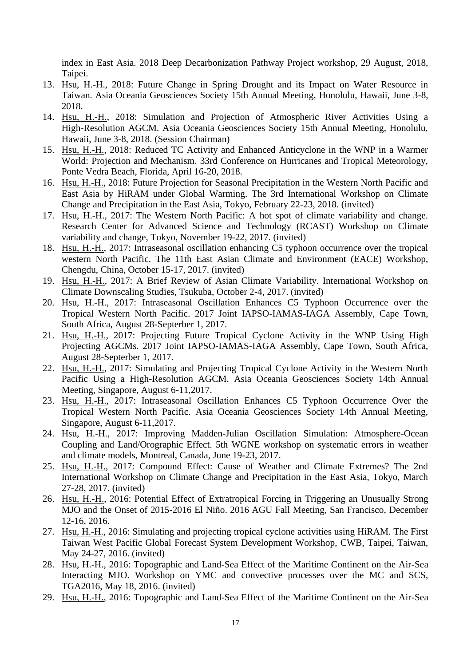index in East Asia. 2018 Deep Decarbonization Pathway Project workshop, 29 August, 2018, Taipei.

- 13. Hsu, H.-H., 2018: Future Change in Spring Drought and its Impact on Water Resource in Taiwan. Asia Oceania Geosciences Society 15th Annual Meeting, Honolulu, Hawaii, June 3-8, 2018.
- 14. Hsu, H.-H., 2018: Simulation and Projection of Atmospheric River Activities Using a High-Resolution AGCM. Asia Oceania Geosciences Society 15th Annual Meeting, Honolulu, Hawaii, June 3-8, 2018. (Session Chairman)
- 15. Hsu, H.-H., 2018: Reduced TC Activity and Enhanced Anticyclone in the WNP in a Warmer World: Projection and Mechanism. 33rd Conference on Hurricanes and Tropical Meteorology, Ponte Vedra Beach, Florida, April 16-20, 2018.
- 16. Hsu, H.-H., 2018: Future Projection for Seasonal Precipitation in the Western North Pacific and East Asia by HiRAM under Global Warming. The 3rd International Workshop on Climate Change and Precipitation in the East Asia, Tokyo, February 22-23, 2018. (invited)
- 17. Hsu, H.-H., 2017: The Western North Pacific: A hot spot of climate variability and change. Research Center for Advanced Science and Technology (RCAST) Workshop on Climate variability and change, Tokyo, November 19-22, 2017. (invited)
- 18. Hsu, H.-H., 2017: Intraseasonal oscillation enhancing C5 typhoon occurrence over the tropical western North Pacific. The 11th East Asian Climate and Environment (EACE) Workshop, Chengdu, China, October 15-17, 2017. (invited)
- 19. Hsu, H.-H., 2017: A Brief Review of Asian Climate Variability. International Workshop on Climate Downscaling Studies, Tsukuba, October 2-4, 2017. (invited)
- 20. Hsu, H.-H., 2017: Intraseasonal Oscillation Enhances C5 Typhoon Occurrence over the Tropical Western North Pacific. 2017 Joint IAPSO-IAMAS-IAGA Assembly, Cape Town, South Africa, August 28-Septerber 1, 2017.
- 21. Hsu, H.-H., 2017: Projecting Future Tropical Cyclone Activity in the WNP Using High Projecting AGCMs. 2017 Joint IAPSO-IAMAS-IAGA Assembly, Cape Town, South Africa, August 28-Septerber 1, 2017.
- 22. Hsu, H.-H., 2017: Simulating and Projecting Tropical Cyclone Activity in the Western North Pacific Using a High-Resolution AGCM. Asia Oceania Geosciences Society 14th Annual Meeting, Singapore, August 6-11,2017.
- 23. Hsu, H.-H., 2017: Intraseasonal Oscillation Enhances C5 Typhoon Occurrence Over the Tropical Western North Pacific. Asia Oceania Geosciences Society 14th Annual Meeting, Singapore, August 6-11,2017.
- 24. Hsu, H.-H., 2017: Improving Madden-Julian Oscillation Simulation: Atmosphere-Ocean Coupling and Land/Orographic Effect. 5th WGNE workshop on systematic errors in weather and climate models, Montreal, Canada, June 19-23, 2017.
- 25. Hsu, H.-H., 2017: Compound Effect: Cause of Weather and Climate Extremes? The 2nd International Workshop on Climate Change and Precipitation in the East Asia, Tokyo, March 27-28, 2017. (invited)
- 26. Hsu, H.-H., 2016: Potential Effect of Extratropical Forcing in Triggering an Unusually Strong MJO and the Onset of 2015-2016 El Niño. 2016 AGU Fall Meeting, San Francisco, December 12-16, 2016.
- 27. Hsu, H.-H., 2016: Simulating and projecting tropical cyclone activities using HiRAM. The First Taiwan West Pacific Global Forecast System Development Workshop, CWB, Taipei, Taiwan, May 24-27, 2016. (invited)
- 28. Hsu, H.-H., 2016: Topographic and Land-Sea Effect of the Maritime Continent on the Air-Sea Interacting MJO. Workshop on YMC and convective processes over the MC and SCS, TGA2016, May 18, 2016. (invited)
- 29. Hsu, H.-H., 2016: Topographic and Land-Sea Effect of the Maritime Continent on the Air-Sea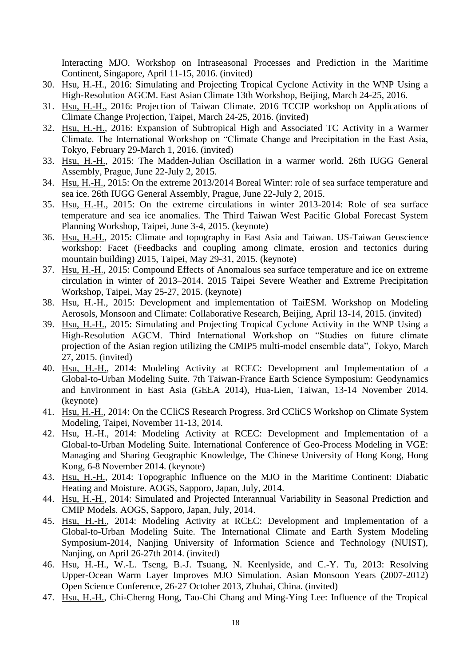Interacting MJO. Workshop on Intraseasonal Processes and Prediction in the Maritime Continent, Singapore, April 11-15, 2016. (invited)

- 30. Hsu, H.-H., 2016: Simulating and Projecting Tropical Cyclone Activity in the WNP Using a High-Resolution AGCM. East Asian Climate 13th Workshop, Beijing, March 24-25, 2016.
- 31. Hsu, H.-H., 2016: Projection of Taiwan Climate. 2016 TCCIP workshop on Applications of Climate Change Projection, Taipei, March 24-25, 2016. (invited)
- 32. Hsu, H.-H., 2016: Expansion of Subtropical High and Associated TC Activity in a Warmer Climate. The International Workshop on "Climate Change and Precipitation in the East Asia, Tokyo, February 29-March 1, 2016. (invited)
- 33. Hsu, H.-H., 2015: The Madden-Julian Oscillation in a warmer world. 26th IUGG General Assembly, Prague, June 22-July 2, 2015.
- 34. Hsu, H.-H., 2015: On the extreme 2013/2014 Boreal Winter: role of sea surface temperature and sea ice. 26th IUGG General Assembly, Prague, June 22-July 2, 2015.
- 35. Hsu, H.-H., 2015: On the extreme circulations in winter 2013-2014: Role of sea surface temperature and sea ice anomalies. The Third Taiwan West Pacific Global Forecast System Planning Workshop, Taipei, June 3-4, 2015. (keynote)
- 36. Hsu, H.-H., 2015: Climate and topography in East Asia and Taiwan. US-Taiwan Geoscience workshop: Facet (Feedbacks and coupling among climate, erosion and tectonics during mountain building) 2015, Taipei, May 29-31, 2015. (keynote)
- 37. Hsu, H.-H., 2015: Compound Effects of Anomalous sea surface temperature and ice on extreme circulation in winter of 2013–2014. 2015 Taipei Severe Weather and Extreme Precipitation Workshop, Taipei, May 25-27, 2015. (keynote)
- 38. Hsu, H.-H., 2015: Development and implementation of TaiESM. Workshop on Modeling Aerosols, Monsoon and Climate: Collaborative Research, Beijing, April 13-14, 2015. (invited)
- 39. Hsu, H.-H., 2015: Simulating and Projecting Tropical Cyclone Activity in the WNP Using a High-Resolution AGCM. Third International Workshop on "Studies on future climate projection of the Asian region utilizing the CMIP5 multi-model ensemble data", Tokyo, March 27, 2015. (invited)
- 40. Hsu, H.-H., 2014: Modeling Activity at RCEC: Development and Implementation of a Global-to-Urban Modeling Suite. 7th Taiwan-France Earth Science Symposium: Geodynamics and Environment in East Asia (GEEA 2014), Hua-Lien, Taiwan, 13-14 November 2014. (keynote)
- 41. Hsu, H.-H., 2014: On the CCliCS Research Progress. 3rd CCliCS Workshop on Climate System Modeling, Taipei, November 11-13, 2014.
- 42. Hsu, H.-H., 2014: Modeling Activity at RCEC: Development and Implementation of a Global-to-Urban Modeling Suite. International Conference of Geo-Process Modeling in VGE: Managing and Sharing Geographic Knowledge, The Chinese University of Hong Kong, Hong Kong, 6-8 November 2014. (keynote)
- 43. Hsu, H.-H., 2014: Topographic Influence on the MJO in the Maritime Continent: Diabatic Heating and Moisture. AOGS, Sapporo, Japan, July, 2014.
- 44. Hsu, H.-H., 2014: Simulated and Projected Interannual Variability in Seasonal Prediction and CMIP Models. AOGS, Sapporo, Japan, July, 2014.
- 45. Hsu, H.-H., 2014: Modeling Activity at RCEC: Development and Implementation of a Global-to-Urban Modeling Suite. The International Climate and Earth System Modeling Symposium-2014, Nanjing University of Information Science and Technology (NUIST), Nanjing, on April 26-27th 2014. (invited)
- 46. Hsu, H.-H., W.-L. Tseng, B.-J. Tsuang, N. Keenlyside, and C.-Y. Tu, 2013: Resolving Upper-Ocean Warm Layer Improves MJO Simulation. Asian Monsoon Years (2007-2012) Open Science Conference, 26-27 October 2013, Zhuhai, China. (invited)
- 47. Hsu, H.-H., Chi-Cherng Hong, Tao-Chi Chang and Ming-Ying Lee: Influence of the Tropical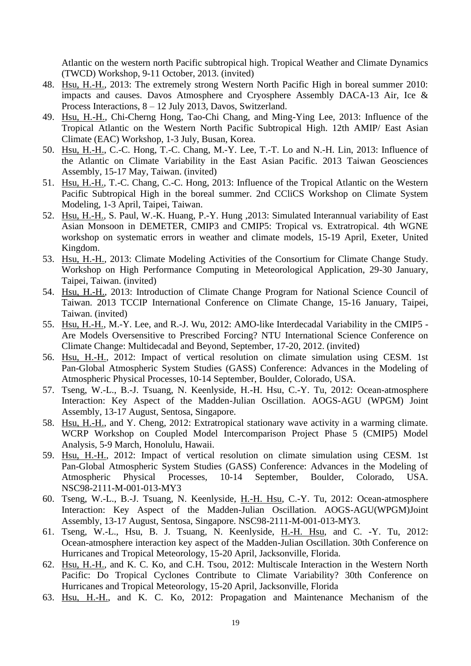Atlantic on the western north Pacific subtropical high. Tropical Weather and Climate Dynamics (TWCD) Workshop, 9-11 October, 2013. (invited)

- 48. Hsu, H.-H., 2013: The extremely strong Western North Pacific High in boreal summer 2010: impacts and causes. Davos Atmosphere and Cryosphere Assembly DACA-13 Air, Ice & Process Interactions, 8 – 12 July 2013, Davos, Switzerland.
- 49. Hsu, H.-H., Chi-Cherng Hong, Tao-Chi Chang, and Ming-Ying Lee, 2013: Influence of the Tropical Atlantic on the Western North Pacific Subtropical High. 12th AMIP/ East Asian Climate (EAC) Workshop, 1-3 July, Busan, Korea.
- 50. Hsu, H.-H., C.-C. Hong, T.-C. Chang, M.-Y. Lee, T.-T. Lo and N.-H. Lin, 2013: Influence of the Atlantic on Climate Variability in the East Asian Pacific. 2013 Taiwan Geosciences Assembly, 15-17 May, Taiwan. (invited)
- 51. Hsu, H.-H., T.-C. Chang, C.-C. Hong, 2013: Influence of the Tropical Atlantic on the Western Pacific Subtropical High in the boreal summer. 2nd CCliCS Workshop on Climate System Modeling, 1-3 April, Taipei, Taiwan.
- 52. Hsu, H.-H., S. Paul, W.-K. Huang, P.-Y. Hung ,2013: Simulated Interannual variability of East Asian Monsoon in DEMETER, CMIP3 and CMIP5: Tropical vs. Extratropical. 4th WGNE workshop on systematic errors in weather and climate models, 15-19 April, Exeter, United Kingdom.
- 53. Hsu, H.-H., 2013: Climate Modeling Activities of the Consortium for Climate Change Study. Workshop on High Performance Computing in Meteorological Application, 29-30 January, Taipei, Taiwan. (invited)
- 54. Hsu, H.-H., 2013: Introduction of Climate Change Program for National Science Council of Taiwan. 2013 TCCIP International Conference on Climate Change, 15-16 January, Taipei, Taiwan. (invited)
- 55. Hsu, H.-H., M.-Y. Lee, and R.-J. Wu, 2012: AMO-like Interdecadal Variability in the CMIP5 -Are Models Oversensitive to Prescribed Forcing? NTU International Science Conference on Climate Change: Multidecadal and Beyond, September, 17-20, 2012. (invited)
- 56. Hsu, H.-H., 2012: Impact of vertical resolution on climate simulation using CESM. 1st Pan-Global Atmospheric System Studies (GASS) Conference: Advances in the Modeling of Atmospheric Physical Processes, 10-14 September, Boulder, Colorado, USA.
- 57. Tseng, W.-L., B.-J. Tsuang, N. Keenlyside, H.-H. Hsu, C.-Y. Tu, 2012: Ocean-atmosphere Interaction: Key Aspect of the Madden-Julian Oscillation. AOGS-AGU (WPGM) Joint Assembly, 13-17 August, Sentosa, Singapore.
- 58. Hsu, H.-H., and Y. Cheng, 2012: Extratropical stationary wave activity in a warming climate. WCRP Workshop on Coupled Model Intercomparison Project Phase 5 (CMIP5) Model Analysis, 5-9 March, Honolulu, Hawaii.
- 59. Hsu, H.-H., 2012: Impact of vertical resolution on climate simulation using CESM. 1st Pan-Global Atmospheric System Studies (GASS) Conference: Advances in the Modeling of Atmospheric Physical Processes, 10-14 September, Boulder, Colorado, USA. NSC98-2111-M-001-013-MY3
- 60. Tseng, W.-L., B.-J. Tsuang, N. Keenlyside, H.-H. Hsu, C.-Y. Tu, 2012: Ocean-atmosphere Interaction: Key Aspect of the Madden-Julian Oscillation. AOGS-AGU(WPGM)Joint Assembly, 13-17 August, Sentosa, Singapore. NSC98-2111-M-001-013-MY3.
- 61. Tseng, W.-L., Hsu, B. J. Tsuang, N. Keenlyside, H.-H. Hsu, and C. -Y. Tu, 2012: Ocean-atmosphere interaction key aspect of the Madden-Julian Oscillation. 30th Conference on Hurricanes and Tropical Meteorology, 15-20 April, Jacksonville, Florida.
- 62. Hsu, H.-H., and K. C. Ko, and C.H. Tsou, 2012: Multiscale Interaction in the Western North Pacific: Do Tropical Cyclones Contribute to Climate Variability? 30th Conference on Hurricanes and Tropical Meteorology, 15-20 April, Jacksonville, Florida
- 63. Hsu, H.-H., and K. C. Ko, 2012: Propagation and Maintenance Mechanism of the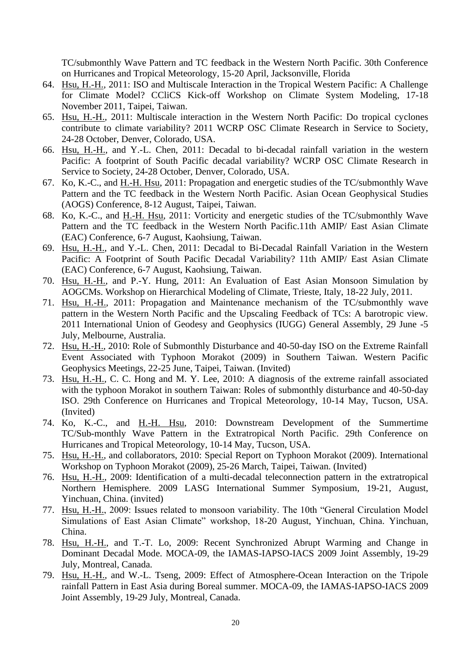TC/submonthly Wave Pattern and TC feedback in the Western North Pacific. 30th Conference on Hurricanes and Tropical Meteorology, 15-20 April, Jacksonville, Florida

- 64. Hsu, H.-H., 2011: ISO and Multiscale Interaction in the Tropical Western Pacific: A Challenge for Climate Model? CCliCS Kick-off Workshop on Climate System Modeling, 17-18 November 2011, Taipei, Taiwan.
- 65. Hsu, H.-H., 2011: Multiscale interaction in the Western North Pacific: Do tropical cyclones contribute to climate variability? 2011 WCRP OSC Climate Research in Service to Society, 24-28 October, Denver, Colorado, USA.
- 66. Hsu, H.-H., and Y.-L. Chen, 2011: Decadal to bi-decadal rainfall variation in the western Pacific: A footprint of South Pacific decadal variability? WCRP OSC Climate Research in Service to Society, 24-28 October, Denver, Colorado, USA.
- 67. Ko, K.-C., and H.-H. Hsu, 2011: Propagation and energetic studies of the TC/submonthly Wave Pattern and the TC feedback in the Western North Pacific. Asian Ocean Geophysical Studies (AOGS) Conference, 8-12 August, Taipei, Taiwan.
- 68. Ko, K.-C., and H.-H. Hsu, 2011: Vorticity and energetic studies of the TC/submonthly Wave Pattern and the TC feedback in the Western North Pacific.11th AMIP/ East Asian Climate (EAC) Conference, 6-7 August, Kaohsiung, Taiwan.
- 69. Hsu, H.-H., and Y.-L. Chen, 2011: Decadal to Bi-Decadal Rainfall Variation in the Western Pacific: A Footprint of South Pacific Decadal Variability? 11th AMIP/ East Asian Climate (EAC) Conference, 6-7 August, Kaohsiung, Taiwan.
- 70. Hsu, H.-H., and P.-Y. Hung, 2011: An Evaluation of East Asian Monsoon Simulation by AOGCMs. Workshop on Hierarchical Modeling of Climate, Trieste, Italy, 18-22 July, 2011.
- 71. Hsu, H.-H., 2011: Propagation and Maintenance mechanism of the TC/submonthly wave pattern in the Western North Pacific and the Upscaling Feedback of TCs: A barotropic view. 2011 International Union of Geodesy and Geophysics (IUGG) General Assembly, 29 June -5 July, Melbourne, Australia.
- 72. Hsu, H.-H., 2010: Role of Submonthly Disturbance and 40-50-day ISO on the Extreme Rainfall Event Associated with Typhoon Morakot (2009) in Southern Taiwan. Western Pacific Geophysics Meetings, 22-25 June, Taipei, Taiwan. (Invited)
- 73. Hsu, H.-H., C. C. Hong and M. Y. Lee, 2010: A diagnosis of the extreme rainfall associated with the typhoon Morakot in southern Taiwan: Roles of submonthly disturbance and 40-50-day ISO. 29th Conference on Hurricanes and Tropical Meteorology, 10-14 May, Tucson, USA. (Invited)
- 74. Ko, K.-C., and H.-H. Hsu, 2010: Downstream Development of the Summertime TC/Sub-monthly Wave Pattern in the Extratropical North Pacific. 29th Conference on Hurricanes and Tropical Meteorology, 10-14 May, Tucson, USA.
- 75. Hsu, H.-H., and collaborators, 2010: Special Report on Typhoon Morakot (2009). International Workshop on Typhoon Morakot (2009), 25-26 March, Taipei, Taiwan. (Invited)
- 76. Hsu, H.-H., 2009: Identification of a multi-decadal teleconnection pattern in the extratropical Northern Hemisphere. 2009 LASG International Summer Symposium, 19-21, August, Yinchuan, China. (invited)
- 77. Hsu, H.-H., 2009: Issues related to monsoon variability. The 10th "General Circulation Model Simulations of East Asian Climate" workshop, 18-20 August, Yinchuan, China. Yinchuan, China.
- 78. Hsu, H.-H., and T.-T. Lo, 2009: Recent Synchronized Abrupt Warming and Change in Dominant Decadal Mode. MOCA-09, the IAMAS-IAPSO-IACS 2009 Joint Assembly, 19-29 July, Montreal, Canada.
- 79. Hsu, H.-H., and W.-L. Tseng, 2009: Effect of Atmosphere-Ocean Interaction on the Tripole rainfall Pattern in East Asia during Boreal summer. MOCA-09, the IAMAS-IAPSO-IACS 2009 Joint Assembly, 19-29 July, Montreal, Canada.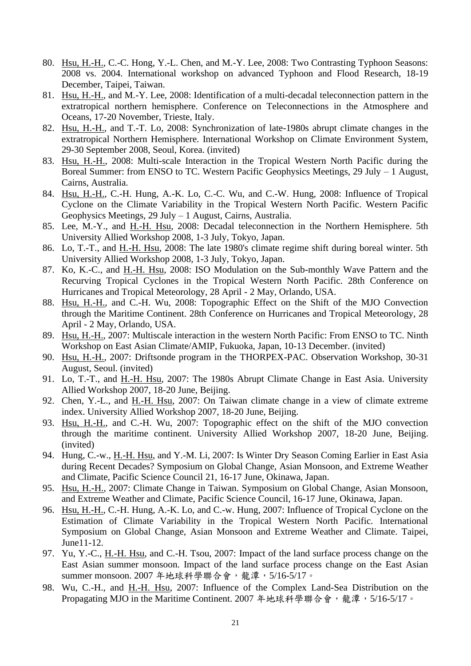- 80. Hsu, H.-H., C.-C. Hong, Y.-L. Chen, and M.-Y. Lee, 2008: Two Contrasting Typhoon Seasons: 2008 vs. 2004. International workshop on advanced Typhoon and Flood Research, 18-19 December, Taipei, Taiwan.
- 81. Hsu, H.-H., and M.-Y. Lee, 2008: Identification of a multi-decadal teleconnection pattern in the extratropical northern hemisphere. Conference on Teleconnections in the Atmosphere and Oceans, 17-20 November, Trieste, Italy.
- 82. Hsu, H.-H., and T.-T. Lo, 2008: Synchronization of late-1980s abrupt climate changes in the extratropical Northern Hemisphere. International Workshop on Climate Environment System, 29-30 September 2008, Seoul, Korea. (invited)
- 83. Hsu, H.-H., 2008: Multi-scale Interaction in the Tropical Western North Pacific during the Boreal Summer: from ENSO to TC. Western Pacific Geophysics Meetings, 29 July – 1 August, Cairns, Australia.
- 84. Hsu, H.-H., C.-H. Hung, A.-K. Lo, C.-C. Wu, and C.-W. Hung, 2008: Influence of Tropical Cyclone on the Climate Variability in the Tropical Western North Pacific. Western Pacific Geophysics Meetings, 29 July – 1 August, Cairns, Australia.
- 85. Lee, M.-Y., and H.-H. Hsu, 2008: Decadal teleconnection in the Northern Hemisphere. 5th University Allied Workshop 2008, 1-3 July, Tokyo, Japan.
- 86. Lo, T.-T., and H.-H. Hsu, 2008: The late 1980's climate regime shift during boreal winter. 5th University Allied Workshop 2008, 1-3 July, Tokyo, Japan.
- 87. Ko, K.-C., and H.-H. Hsu, 2008: ISO Modulation on the Sub-monthly Wave Pattern and the Recurving Tropical Cyclones in the Tropical Western North Pacific. 28th Conference on Hurricanes and Tropical Meteorology, 28 April - 2 May, Orlando, USA.
- 88. Hsu, H.-H., and C.-H. Wu, 2008: Topographic Effect on the Shift of the MJO Convection through the Maritime Continent. 28th Conference on Hurricanes and Tropical Meteorology, 28 April - 2 May, Orlando, USA.
- 89. Hsu, H.-H., 2007: Multiscale interaction in the western North Pacific: From ENSO to TC. Ninth Workshop on East Asian Climate/AMIP, Fukuoka, Japan, 10-13 December. (invited)
- 90. Hsu, H.-H., 2007: Driftsonde program in the THORPEX-PAC. Observation Workshop, 30-31 August, Seoul. (invited)
- 91. Lo, T.-T., and H.-H. Hsu, 2007: The 1980s Abrupt Climate Change in East Asia. University Allied Workshop 2007, 18-20 June, Beijing.
- 92. Chen, Y.-L., and H.-H. Hsu, 2007: On Taiwan climate change in a view of climate extreme index. University Allied Workshop 2007, 18-20 June, Beijing.
- 93. Hsu, H.-H., and C.-H. Wu, 2007: Topographic effect on the shift of the MJO convection through the maritime continent. University Allied Workshop 2007, 18-20 June, Beijing. (invited)
- 94. Hung, C.-w., H.-H. Hsu, and Y.-M. Li, 2007: Is Winter Dry Season Coming Earlier in East Asia during Recent Decades? Symposium on Global Change, Asian Monsoon, and Extreme Weather and Climate, Pacific Science Council 21, 16-17 June, Okinawa, Japan.
- 95. Hsu, H.-H., 2007: Climate Change in Taiwan. Symposium on Global Change, Asian Monsoon, and Extreme Weather and Climate, Pacific Science Council, 16-17 June, Okinawa, Japan.
- 96. Hsu, H.-H., C.-H. Hung, A.-K. Lo, and C.-w. Hung, 2007: Influence of Tropical Cyclone on the Estimation of Climate Variability in the Tropical Western North Pacific. International Symposium on Global Change, Asian Monsoon and Extreme Weather and Climate. Taipei, June11-12.
- 97. Yu, Y.-C., H.-H. Hsu, and C.-H. Tsou, 2007: Impact of the land surface process change on the East Asian summer monsoon. Impact of the land surface process change on the East Asian summer monsoon. 2007 年地球科學聯合會,龍潭,5/16-5/17。
- 98. Wu, C.-H., and H.-H. Hsu, 2007: Influence of the Complex Land-Sea Distribution on the Propagating MJO in the Maritime Continent. 2007年地球科學聯合會,龍潭, 5/16-5/17。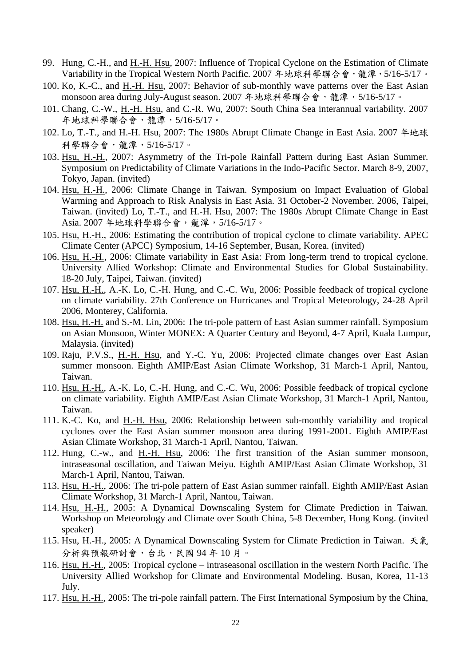- 99. Hung, C.-H., and H.-H. Hsu, 2007: Influence of Tropical Cyclone on the Estimation of Climate Variability in the Tropical Western North Pacific. 2007 年地球科學聯合會,龍潭, 5/16-5/17。
- 100. Ko, K.-C., and H.-H. Hsu, 2007: Behavior of sub-monthly wave patterns over the East Asian monsoon area during July-August season. 2007年地球科學聯合會,龍潭, 5/16-5/17。
- 101. Chang, C.-W., H.-H. Hsu, and C.-R. Wu, 2007: South China Sea interannual variability. 2007 年地球科學聯合會,龍潭,5/16-5/17。
- 102. Lo, T.-T., and H.-H. Hsu, 2007: The 1980s Abrupt Climate Change in East Asia. 2007 年地球 科學聯合會,龍潭,5/16-5/17。
- 103. Hsu, H.-H., 2007: Asymmetry of the Tri-pole Rainfall Pattern during East Asian Summer. Symposium on Predictability of Climate Variations in the Indo-Pacific Sector. March 8-9, 2007, Tokyo, Japan. (invited)
- 104. Hsu, H.-H., 2006: Climate Change in Taiwan. Symposium on Impact Evaluation of Global Warming and Approach to Risk Analysis in East Asia. 31 October-2 November. 2006, Taipei, Taiwan. (invited) Lo, T.-T., and H.-H. Hsu, 2007: The 1980s Abrupt Climate Change in East Asia. 2007 年地球科學聯合會,龍潭,5/16-5/17。
- 105. Hsu, H.-H., 2006: Estimating the contribution of tropical cyclone to climate variability. APEC Climate Center (APCC) Symposium, 14-16 September, Busan, Korea. (invited)
- 106. Hsu, H.-H., 2006: Climate variability in East Asia: From long-term trend to tropical cyclone. University Allied Workshop: Climate and Environmental Studies for Global Sustainability. 18-20 July, Taipei, Taiwan. (invited)
- 107. Hsu, H.-H., A.-K. Lo, C.-H. Hung, and C.-C. Wu, 2006: Possible feedback of tropical cyclone on climate variability. 27th Conference on Hurricanes and Tropical Meteorology, 24-28 April 2006, Monterey, California.
- 108. Hsu, H.-H. and S.-M. Lin, 2006: The tri-pole pattern of East Asian summer rainfall. Symposium on Asian Monsoon, Winter MONEX: A Quarter Century and Beyond, 4-7 April, Kuala Lumpur, Malaysia. (invited)
- 109. Raju, P.V.S., H.-H. Hsu, and Y.-C. Yu, 2006: Projected climate changes over East Asian summer monsoon. Eighth AMIP/East Asian Climate Workshop, 31 March-1 April, Nantou, Taiwan.
- 110. Hsu, H.-H., A.-K. Lo, C.-H. Hung, and C.-C. Wu, 2006: Possible feedback of tropical cyclone on climate variability. Eighth AMIP/East Asian Climate Workshop, 31 March-1 April, Nantou, Taiwan.
- 111. K.-C. Ko, and H.-H. Hsu, 2006: Relationship between sub-monthly variability and tropical cyclones over the East Asian summer monsoon area during 1991-2001. Eighth AMIP/East Asian Climate Workshop, 31 March-1 April, Nantou, Taiwan.
- 112. Hung, C.-w., and H.-H. Hsu, 2006: The first transition of the Asian summer monsoon, intraseasonal oscillation, and Taiwan Meiyu. Eighth AMIP/East Asian Climate Workshop, 31 March-1 April, Nantou, Taiwan.
- 113. Hsu, H.-H., 2006: The tri-pole pattern of East Asian summer rainfall. Eighth AMIP/East Asian Climate Workshop, 31 March-1 April, Nantou, Taiwan.
- 114. Hsu, H.-H., 2005: A Dynamical Downscaling System for Climate Prediction in Taiwan. Workshop on Meteorology and Climate over South China, 5-8 December, Hong Kong. (invited speaker)
- 115. Hsu, H.-H., 2005: A Dynamical Downscaling System for Climate Prediction in Taiwan. 天氣 分析與預報研討會,台北,民國 94 年 10 月。
- 116. Hsu, H.-H., 2005: Tropical cyclone intraseasonal oscillation in the western North Pacific. The University Allied Workshop for Climate and Environmental Modeling. Busan, Korea, 11-13 July.
- 117. Hsu, H.-H., 2005: The tri-pole rainfall pattern. The First International Symposium by the China,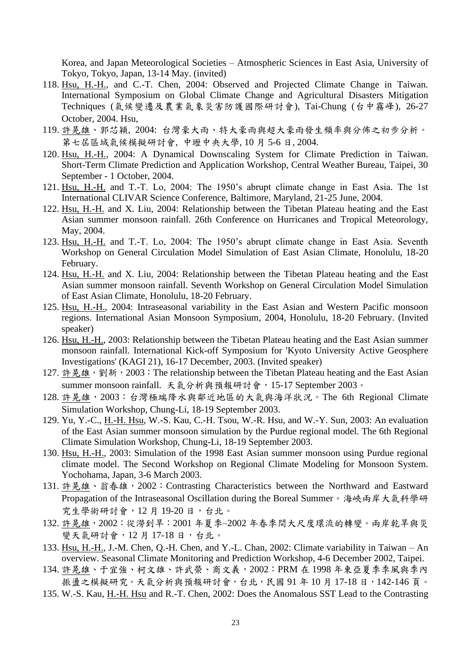Korea, and Japan Meteorological Societies – Atmospheric Sciences in East Asia, University of Tokyo, Tokyo, Japan, 13-14 May. (invited)

- 118. Hsu, H.-H., and C.-T. Chen, 2004: Observed and Projected Climate Change in Taiwan. International Symposium on Global Climate Change and Agricultural Disasters Mitigation Techniques (氣候變遷及農業氣象災害防護國際研討會), Tai-Chung (台中霧峰), 26-27 October, 2004. Hsu,
- 119. 許晃雄、郭芯穎, 2004: 台灣豪大雨、特大豪雨與超大豪雨發生頻率與分佈之初步分析。 第七屆區域氣候模擬研討會, 中壢中央大學, 10 月 5-6 日, 2004.
- 120. Hsu, H.-H., 2004: A Dynamical Downscaling System for Climate Prediction in Taiwan. Short-Term Climate Prediction and Application Workshop, Central Weather Bureau, Taipei, 30 September - 1 October, 2004.
- 121. Hsu, H.-H. and T.-T. Lo, 2004: The 1950's abrupt climate change in East Asia. The 1st International CLIVAR Science Conference, Baltimore, Maryland, 21-25 June, 2004.
- 122. Hsu, H.-H. and X. Liu, 2004: Relationship between the Tibetan Plateau heating and the East Asian summer monsoon rainfall. 26th Conference on Hurricanes and Tropical Meteorology, May, 2004.
- 123. Hsu, H.-H. and T.-T. Lo, 2004: The 1950's abrupt climate change in East Asia. Seventh Workshop on General Circulation Model Simulation of East Asian Climate, Honolulu, 18-20 February.
- 124. Hsu, H.-H. and X. Liu, 2004: Relationship between the Tibetan Plateau heating and the East Asian summer monsoon rainfall. Seventh Workshop on General Circulation Model Simulation of East Asian Climate, Honolulu, 18-20 February.
- 125. Hsu, H.-H., 2004: Intraseasonal variability in the East Asian and Western Pacific monsoon regions. International Asian Monsoon Symposium, 2004, Honolulu, 18-20 February. (Invited speaker)
- 126. Hsu, H.-H., 2003: Relationship between the Tibetan Plateau heating and the East Asian summer monsoon rainfall. International Kick-off Symposium for 'Kyoto University Active Geosphere Investigations' (KAGI 21), 16-17 December, 2003. (Invited speaker)
- 127. 許晃雄,劉新, 2003: The relationship between the Tibetan Plateau heating and the East Asian summer monsoon rainfall. 天氣分析與預報研討會,15-17 September 2003。
- 128. 許晃雄, 2003: 台灣極端降水與鄰近地區的大氣與海洋狀況。The 6th Regional Climate Simulation Workshop, Chung-Li, 18-19 September 2003.
- 129. Yu, Y.-C., H.-H. Hsu, W.-S. Kau, C.-H. Tsou, W.-R. Hsu, and W.-Y. Sun, 2003: An evaluation of the East Asian summer monsoon simulation by the Purdue regional model. The 6th Regional Climate Simulation Workshop, Chung-Li, 18-19 September 2003.
- 130. Hsu, H.-H., 2003: Simulation of the 1998 East Asian summer monsoon using Purdue regional climate model. The Second Workshop on Regional Climate Modeling for Monsoon System. Yochohama, Japan, 3-6 March 2003.
- 131. 許晃雄、翁春雄, 2002: Contrasting Characteristics between the Northward and Eastward Propagation of the Intraseasonal Oscillation during the Boreal Summer。海峽兩岸大氣科學研 究生學術研討會,12 月 19-20 日,台北。
- 132. 許晃雄,2002:從澇到旱:2001 年夏季–2002 年春季間大尺度環流的轉變。兩岸乾旱與災 變天氣研討會,12月17-18日,台北。
- 133. Hsu, H.-H., J.-M. Chen, Q.-H. Chen, and Y.-L. Chan, 2002: Climate variability in Taiwan An overview. Seasonal Climate Monitoring and Prediction Workshop, 4-6 December 2002, Taipei.
- 134. 許晃雄、于宜強、柯文雄、許武榮、商文義,2002:PRM 在 1998 年東亞夏季季風與季內 振盪之模擬研究。天氣分析與預報研討會,台北,民國91年10月17-18日,142-146頁。
- 135. W.-S. Kau, H.-H. Hsu and R.-T. Chen, 2002: Does the Anomalous SST Lead to the Contrasting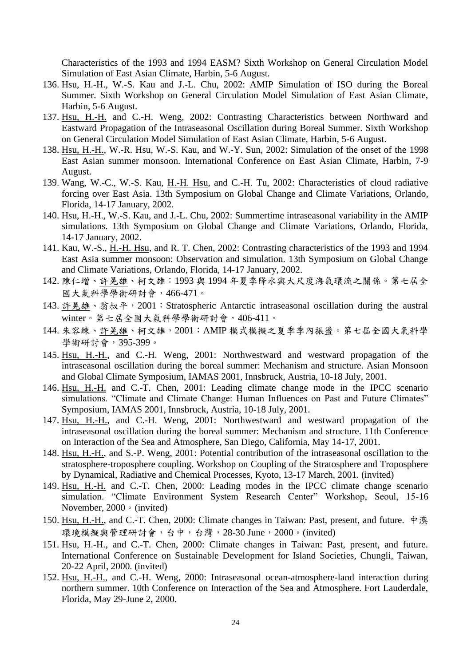Characteristics of the 1993 and 1994 EASM? Sixth Workshop on General Circulation Model Simulation of East Asian Climate, Harbin, 5-6 August.

- 136. Hsu, H.-H., W.-S. Kau and J.-L. Chu, 2002: AMIP Simulation of ISO during the Boreal Summer. Sixth Workshop on General Circulation Model Simulation of East Asian Climate, Harbin, 5-6 August.
- 137. Hsu, H.-H. and C.-H. Weng, 2002: Contrasting Characteristics between Northward and Eastward Propagation of the Intraseasonal Oscillation during Boreal Summer. Sixth Workshop on General Circulation Model Simulation of East Asian Climate, Harbin, 5-6 August.
- 138. Hsu, H.-H., W.-R. Hsu, W.-S. Kau, and W.-Y. Sun, 2002: Simulation of the onset of the 1998 East Asian summer monsoon. International Conference on East Asian Climate, Harbin, 7-9 August.
- 139. Wang, W.-C., W.-S. Kau, H.-H. Hsu, and C.-H. Tu, 2002: Characteristics of cloud radiative forcing over East Asia. 13th Symposium on Global Change and Climate Variations, Orlando, Florida, 14-17 January, 2002.
- 140. Hsu, H.-H., W.-S. Kau, and J.-L. Chu, 2002: Summertime intraseasonal variability in the AMIP simulations. 13th Symposium on Global Change and Climate Variations, Orlando, Florida, 14-17 January, 2002.
- 141. Kau, W.-S., H.-H. Hsu, and R. T. Chen, 2002: Contrasting characteristics of the 1993 and 1994 East Asia summer monsoon: Observation and simulation. 13th Symposium on Global Change and Climate Variations, Orlando, Florida, 14-17 January, 2002.
- 142. 陳仁增、許晃雄、柯文雄:1993 與 1994 年夏季降水與大尺度海氣環流之關係。第七屆全 國大氣科學學術研討會,466-471。
- 143. 許晃雄、翁叔平, 2001: Stratospheric Antarctic intraseasonal oscillation during the austral winter。第七屆全國大氣科學學術研討會,406-411。
- 144. 朱容練、許晃雄、柯文雄, 2001: AMIP 模式模擬之夏季季內振盪。第七屆全國大氣科學 學術研討會,395-399。
- 145. Hsu, H.-H., and C.-H. Weng, 2001: Northwestward and westward propagation of the intraseasonal oscillation during the boreal summer: Mechanism and structure. Asian Monsoon and Global Climate Symposium, IAMAS 2001, Innsbruck, Austria, 10-18 July, 2001.
- 146. Hsu, H.-H. and C.-T. Chen, 2001: Leading climate change mode in the IPCC scenario simulations. "Climate and Climate Change: Human Influences on Past and Future Climates" Symposium, IAMAS 2001, Innsbruck, Austria, 10-18 July, 2001.
- 147. Hsu, H.-H., and C.-H. Weng, 2001: Northwestward and westward propagation of the intraseasonal oscillation during the boreal summer: Mechanism and structure. 11th Conference on Interaction of the Sea and Atmosphere, San Diego, California, May 14-17, 2001.
- 148. Hsu, H.-H., and S.-P. Weng, 2001: Potential contribution of the intraseasonal oscillation to the stratosphere-troposphere coupling. Workshop on Coupling of the Stratosphere and Troposphere by Dynamical, Radiative and Chemical Processes, Kyoto, 13-17 March, 2001. (invited)
- 149. Hsu, H.-H. and C.-T. Chen, 2000: Leading modes in the IPCC climate change scenario simulation. "Climate Environment System Research Center" Workshop, Seoul, 15-16 November, 2000。(invited)
- 150. Hsu, H.-H., and C.-T. Chen, 2000: Climate changes in Taiwan: Past, present, and future. 中澳 環境模擬與管理研討會,台中,台灣,28-30 June,2000。(invited)
- 151. Hsu, H.-H., and C.-T. Chen, 2000: Climate changes in Taiwan: Past, present, and future. International Conference on Sustainable Development for Island Societies, Chungli, Taiwan, 20-22 April, 2000. (invited)
- 152. Hsu, H.-H., and C.-H. Weng, 2000: Intraseasonal ocean-atmosphere-land interaction during northern summer. 10th Conference on Interaction of the Sea and Atmosphere. Fort Lauderdale, Florida, May 29-June 2, 2000.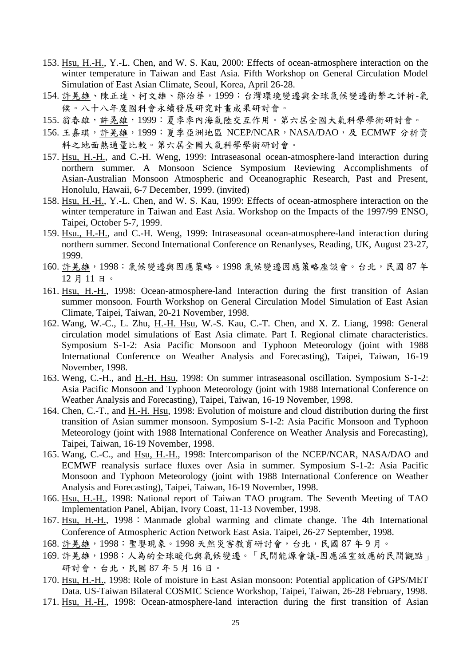- 153. Hsu, H.-H., Y.-L. Chen, and W. S. Kau, 2000: Effects of ocean-atmosphere interaction on the winter temperature in Taiwan and East Asia. Fifth Workshop on General Circulation Model Simulation of East Asian Climate, Seoul, Korea, April 26-28.
- 154. 許晃雄、陳正達、柯文雄、鄒治華,1999:台灣環境變遷與全球氣候變遷衝擊之評析-氣 候。八十八年度國科會永續發展研究計畫成果研討會。
- 155. 翁春雄,許晃雄,1999:夏季季內海氣陸交互作用。第六屆全國大氣科學學術研討會。
- 156. 王嘉琪,許晃雄, 1999: 夏季亞洲地區 NCEP/NCAR, NASA/DAO, 及 ECMWF 分析資 料之地面熱通量比較。第六屆全國大氣科學學術研討會。
- 157. Hsu, H.-H., and C.-H. Weng, 1999: Intraseasonal ocean-atmosphere-land interaction during northern summer. A Monsoon Science Symposium Reviewing Accomplishments of Asian-Australian Monsoon Atmospheric and Oceanographic Research, Past and Present, Honolulu, Hawaii, 6-7 December, 1999. (invited)
- 158. Hsu, H.-H., Y.-L. Chen, and W. S. Kau, 1999: Effects of ocean-atmosphere interaction on the winter temperature in Taiwan and East Asia. Workshop on the Impacts of the 1997/99 ENSO, Taipei, October 5-7, 1999.
- 159. Hsu., H.-H., and C.-H. Weng, 1999: Intraseasonal ocean-atmosphere-land interaction during northern summer. Second International Conference on Renanlyses, Reading, UK, August 23-27, 1999.
- 160. 許晃雄,1998: 氣候變遷與因應策略。1998 氣候變遷因應策略座談會。台北,民國 87年 12 月 11 日。
- 161. Hsu, H.-H., 1998: Ocean-atmosphere-land Interaction during the first transition of Asian summer monsoon. Fourth Workshop on General Circulation Model Simulation of East Asian Climate, Taipei, Taiwan, 20-21 November, 1998.
- 162. Wang, W.-C., L. Zhu, H.-H. Hsu, W.-S. Kau, C.-T. Chen, and X. Z. Liang, 1998: General circulation model simulations of East Asia climate. Part I. Regional climate characteristics. Symposium S-1-2: Asia Pacific Monsoon and Typhoon Meteorology (joint with 1988 International Conference on Weather Analysis and Forecasting), Taipei, Taiwan, 16-19 November, 1998.
- 163. Weng, C.-H., and H.-H. Hsu, 1998: On summer intraseasonal oscillation. Symposium S-1-2: Asia Pacific Monsoon and Typhoon Meteorology (joint with 1988 International Conference on Weather Analysis and Forecasting), Taipei, Taiwan, 16-19 November, 1998.
- 164. Chen, C.-T., and H.-H. Hsu, 1998: Evolution of moisture and cloud distribution during the first transition of Asian summer monsoon. Symposium S-1-2: Asia Pacific Monsoon and Typhoon Meteorology (joint with 1988 International Conference on Weather Analysis and Forecasting), Taipei, Taiwan, 16-19 November, 1998.
- 165. Wang, C.-C., and Hsu, H.-H., 1998: Intercomparison of the NCEP/NCAR, NASA/DAO and ECMWF reanalysis surface fluxes over Asia in summer. Symposium S-1-2: Asia Pacific Monsoon and Typhoon Meteorology (joint with 1988 International Conference on Weather Analysis and Forecasting), Taipei, Taiwan, 16-19 November, 1998.
- 166. Hsu, H.-H., 1998: National report of Taiwan TAO program. The Seventh Meeting of TAO Implementation Panel, Abijan, Ivory Coast, 11-13 November, 1998.
- 167. Hsu, H.-H., 1998: Manmade global warming and climate change. The 4th International Conference of Atmospheric Action Network East Asia. Taipei, 26-27 September, 1998.
- 168. 許晃雄,1998: 聖嬰現象。1998 天然災害教育研討會,台北,民國 87 年 9 月。
- 169. 許晃雄,1998: 人為的全球暖化與氣候變遷。「民間能源會議-因應溫室效應的民間觀點」 研討會,台北,民國 87 年 5 月 16 日。
- 170. Hsu, H.-H., 1998: Role of moisture in East Asian monsoon: Potential application of GPS/MET Data. US-Taiwan Bilateral COSMIC Science Workshop, Taipei, Taiwan, 26-28 February, 1998.
- 171. Hsu, H.-H., 1998: Ocean-atmosphere-land interaction during the first transition of Asian